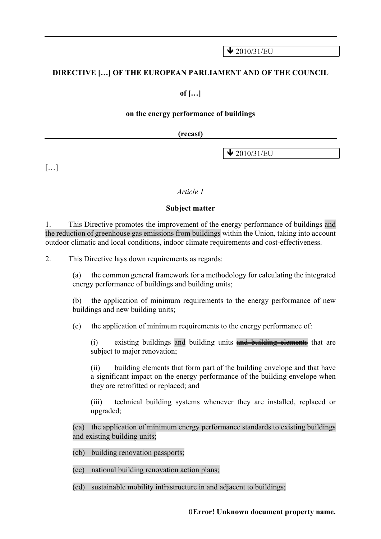$\bigvee$  2010/31/EU

#### **DIRECTIVE […] OF THE EUROPEAN PARLIAMENT AND OF THE COUNCIL**

**of […]**

#### **on the energy performance of buildings**

#### **(recast)**

 $\bigvee$  2010/31/EU

 $[\ldots]$ 

#### *Article 1*

#### **Subject matter**

1. This Directive promotes the improvement of the energy performance of buildings and the reduction of greenhouse gas emissions from buildings within the Union, taking into account outdoor climatic and local conditions, indoor climate requirements and cost-effectiveness.

2. This Directive lays down requirements as regards:

(a) the common general framework for a methodology for calculating the integrated energy performance of buildings and building units;

(b) the application of minimum requirements to the energy performance of new buildings and new building units;

(c) the application of minimum requirements to the energy performance of:

(i) existing buildings and building units and building elements that are subject to major renovation;

(ii) building elements that form part of the building envelope and that have a significant impact on the energy performance of the building envelope when they are retrofitted or replaced; and

(iii) technical building systems whenever they are installed, replaced or upgraded;

(ca) the application of minimum energy performance standards to existing buildings and existing building units;

(cb) building renovation passports;

(cc) national building renovation action plans;

(cd) sustainable mobility infrastructure in and adjacent to buildings;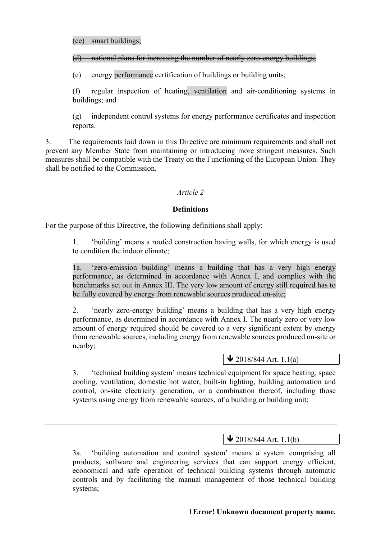#### (d) national plans for increasing the number of nearly zero-energy buildings;

(e) energy performance certification of buildings or building units;

(f) regular inspection of heating, ventilation and air-conditioning systems in buildings; and

(g) independent control systems for energy performance certificates and inspection reports.

3. The requirements laid down in this Directive are minimum requirements and shall not prevent any Member State from maintaining or introducing more stringent measures. Such measures shall be compatible with the Treaty on the Functioning of the European Union. They shall be notified to the Commission.

### *Article 2*

#### **Definitions**

For the purpose of this Directive, the following definitions shall apply:

1. 'building' means a roofed construction having walls, for which energy is used to condition the indoor climate;

1a. 'zero-emission building' means a building that has a very high energy performance, as determined in accordance with Annex I, and complies with the benchmarks set out in Annex III. The very low amount of energy still required has to be fully covered by energy from renewable sources produced on-site;

2. 'nearly zero-energy building' means a building that has a very high energy performance, as determined in accordance with Annex I. The nearly zero or very low amount of energy required should be covered to a very significant extent by energy from renewable sources, including energy from renewable sources produced on-site or nearby;

## $\bigvee$  2018/844 Art. 1.1(a)

3. 'technical building system' means technical equipment for space heating, space cooling, ventilation, domestic hot water, built-in lighting, building automation and control, on-site electricity generation, or a combination thereof, including those systems using energy from renewable sources, of a building or building unit;

# $\sqrt{2018/844 \text{ Art.} 1.1(b)}$

3a. 'building automation and control system' means a system comprising all products, software and engineering services that can support energy efficient, economical and safe operation of technical building systems through automatic controls and by facilitating the manual management of those technical building systems;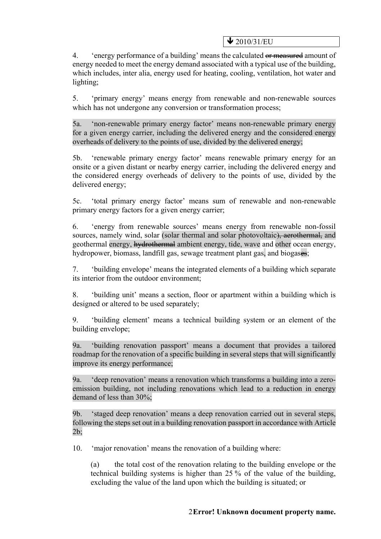$\bigvee$  2010/31/EU

4. 'energy performance of a building' means the calculated or measured amount of energy needed to meet the energy demand associated with a typical use of the building, which includes, inter alia, energy used for heating, cooling, ventilation, hot water and lighting;

5. 'primary energy' means energy from renewable and non-renewable sources which has not undergone any conversion or transformation process;

5a. 'non-renewable primary energy factor' means non-renewable primary energy for a given energy carrier, including the delivered energy and the considered energy overheads of delivery to the points of use, divided by the delivered energy;

5b. 'renewable primary energy factor' means renewable primary energy for an onsite or a given distant or nearby energy carrier, including the delivered energy and the considered energy overheads of delivery to the points of use, divided by the delivered energy;

5c. 'total primary energy factor' means sum of renewable and non-renewable primary energy factors for a given energy carrier;

6. 'energy from renewable sources' means energy from renewable non-fossil sources, namely wind, solar (solar thermal and solar photovoltaic), aerothermal, and geothermal energy, hydrothermal ambient energy, tide, wave and other ocean energy, hydropower, biomass, landfill gas, sewage treatment plant gas, and biogases;

7. 'building envelope' means the integrated elements of a building which separate its interior from the outdoor environment;

8. 'building unit' means a section, floor or apartment within a building which is designed or altered to be used separately;

9. 'building element' means a technical building system or an element of the building envelope;

9a. 'building renovation passport' means a document that provides a tailored roadmap for the renovation of a specific building in several steps that will significantly improve its energy performance;

9a. 'deep renovation' means a renovation which transforms a building into a zeroemission building, not including renovations which lead to a reduction in energy demand of less than 30%;

9b. 'staged deep renovation' means a deep renovation carried out in several steps, following the steps set out in a building renovation passport in accordance with Article 2b;

10. 'major renovation' means the renovation of a building where:

(a) the total cost of the renovation relating to the building envelope or the technical building systems is higher than 25 % of the value of the building, excluding the value of the land upon which the building is situated; or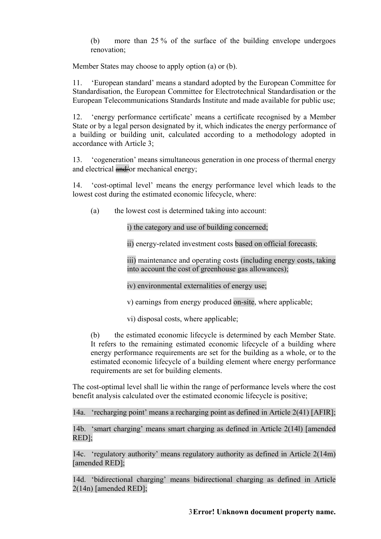(b) more than 25 % of the surface of the building envelope undergoes renovation;

Member States may choose to apply option (a) or (b).

11. 'European standard' means a standard adopted by the European Committee for Standardisation, the European Committee for Electrotechnical Standardisation or the European Telecommunications Standards Institute and made available for public use;

12. 'energy performance certificate' means a certificate recognised by a Member State or by a legal person designated by it, which indicates the energy performance of a building or building unit, calculated according to a methodology adopted in accordance with Article 3;

13. 'cogeneration' means simultaneous generation in one process of thermal energy and electrical and/or mechanical energy;

14. 'cost-optimal level' means the energy performance level which leads to the lowest cost during the estimated economic lifecycle, where:

(a) the lowest cost is determined taking into account:

i) the category and use of building concerned;

ii) energy-related investment costs based on official forecasts;

iii) maintenance and operating costs (including energy costs, taking into account the cost of greenhouse gas allowances);

iv) environmental externalities of energy use;

v) earnings from energy produced on-site, where applicable;

vi) disposal costs, where applicable;

(b) the estimated economic lifecycle is determined by each Member State. It refers to the remaining estimated economic lifecycle of a building where energy performance requirements are set for the building as a whole, or to the estimated economic lifecycle of a building element where energy performance requirements are set for building elements.

The cost-optimal level shall lie within the range of performance levels where the cost benefit analysis calculated over the estimated economic lifecycle is positive;

14a. 'recharging point' means a recharging point as defined in Article 2(41) [AFIR];

14b. 'smart charging' means smart charging as defined in Article 2(14l) [amended RED];

14c. 'regulatory authority' means regulatory authority as defined in Article 2(14m) [amended RED];

14d. 'bidirectional charging' means bidirectional charging as defined in Article 2(14n) [amended RED];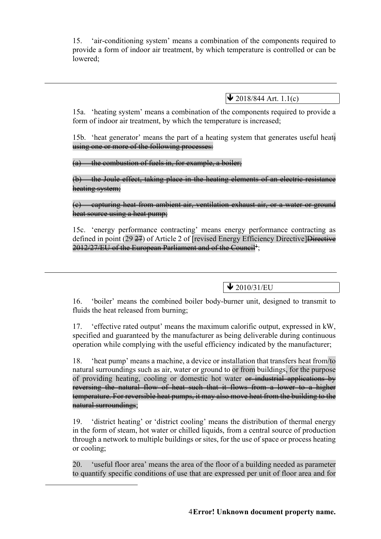15. 'air-conditioning system' means a combination of the components required to provide a form of indoor air treatment, by which temperature is controlled or can be lowered;

 $\bigvee$  2018/844 Art. 1.1(c)

15a. 'heating system' means a combination of the components required to provide a form of indoor air treatment, by which the temperature is increased;

15b. 'heat generator' means the part of a heating system that generates useful heat using one or more of the following processes:

the combustion of fuels in, for example, a boiler;

(b) the Joule effect, taking place in the heating elements of an electric resistance heating system;

(c) capturing heat from ambient air, ventilation exhaust air, or a water or ground heat source using a heat pump:

15c. 'energy performance contracting' means energy performance contracting as defined in point  $(29 27)$  of Article 2 of [revised Energy Efficiency Directive] $\overline{\text{Directive}}$  $2012/27/\mathrm{EU}$  of the European Parliament and of the Couneil $^{\ddagger};$ 

 $\bigvee$  2010/31/EU

16. 'boiler' means the combined boiler body-burner unit, designed to transmit to fluids the heat released from burning;

17. 'effective rated output' means the maximum calorific output, expressed in kW, specified and guaranteed by the manufacturer as being deliverable during continuous operation while complying with the useful efficiency indicated by the manufacturer;

18. 'heat pump' means a machine, a device or installation that transfers heat from/to natural surroundings such as air, water or ground to or from buildings, for the purpose of providing heating, cooling or domestic hot water or industrial applications by reversing the natural flow of heat such that it flows from a lower to a higher temperature. For reversible heat pumps, it may also move heat from the building to the natural surroundings;

19. 'district heating' or 'district cooling' means the distribution of thermal energy in the form of steam, hot water or chilled liquids, from a central source of production through a network to multiple buildings or sites, for the use of space or process heating or cooling;

20. 'useful floor area' means the area of the floor of a building needed as parameter to quantify specific conditions of use that are expressed per unit of floor area and for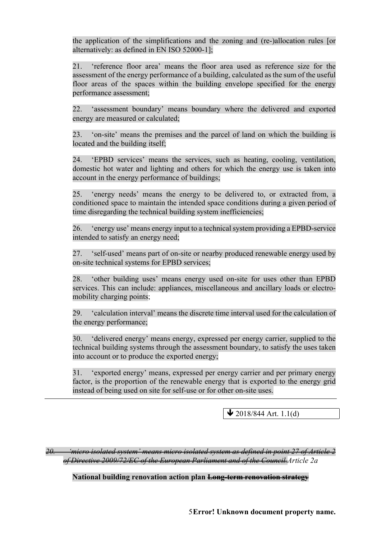the application of the simplifications and the zoning and (re-)allocation rules [or alternatively: as defined in EN ISO 52000-1];

21. 'reference floor area' means the floor area used as reference size for the assessment of the energy performance of a building, calculated as the sum of the useful floor areas of the spaces within the building envelope specified for the energy performance assessment;

22. 'assessment boundary' means boundary where the delivered and exported energy are measured or calculated;

23. 'on-site' means the premises and the parcel of land on which the building is located and the building itself;

24. 'EPBD services' means the services, such as heating, cooling, ventilation, domestic hot water and lighting and others for which the energy use is taken into account in the energy performance of buildings;

25. 'energy needs' means the energy to be delivered to, or extracted from, a conditioned space to maintain the intended space conditions during a given period of time disregarding the technical building system inefficiencies;

26. 'energy use' means energy input to a technical system providing a EPBD-service intended to satisfy an energy need;

27. 'self-used' means part of on-site or nearby produced renewable energy used by on-site technical systems for EPBD services;

28. 'other building uses' means energy used on-site for uses other than EPBD services. This can include: appliances, miscellaneous and ancillary loads or electromobility charging points;

29. 'calculation interval' means the discrete time interval used for the calculation of the energy performance;

30. 'delivered energy' means energy, expressed per energy carrier, supplied to the technical building systems through the assessment boundary, to satisfy the uses taken into account or to produce the exported energy;

31. 'exported energy' means, expressed per energy carrier and per primary energy factor, is the proportion of the renewable energy that is exported to the energy grid instead of being used on site for self-use or for other on-site uses.

 $\blacktriangleright$  2018/844 Art. 1.1(d)

*20. 'micro isolated system' means micro isolated system as defined in point 27 of Article 2 of Directive 2009/72/EC of the European Parliament and of the Council.Article 2a*

**National building renovation action plan Long-term renovation strategy**

5**Error! Unknown document property name.**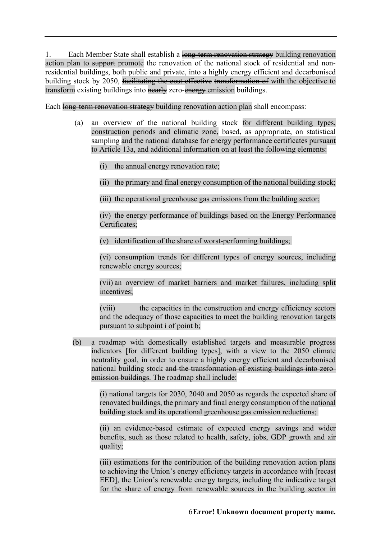1. Each Member State shall establish a long-term renovation strategy building renovation action plan to support promote the renovation of the national stock of residential and nonresidential buildings, both public and private, into a highly energy efficient and decarbonised building stock by 2050, facilitating the cost effective transformation of with the objective to transform existing buildings into nearly zero-energy emission buildings.

Each long-term renovation strategy building renovation action plan shall encompass:

- (a) an overview of the national building stock for different building types, construction periods and climatic zone, based, as appropriate, on statistical sampling and the national database for energy performance certificates pursuant to Article 13a, and additional information on at least the following elements:
	- (i) the annual energy renovation rate;
	- (ii) the primary and final energy consumption of the national building stock;
	- (iii) the operational greenhouse gas emissions from the building sector;

(iv) the energy performance of buildings based on the Energy Performance Certificates;

(v) identification of the share of worst-performing buildings;

(vi) consumption trends for different types of energy sources, including renewable energy sources;

(vii) an overview of market barriers and market failures, including split incentives;

(viii) the capacities in the construction and energy efficiency sectors and the adequacy of those capacities to meet the building renovation targets pursuant to subpoint i of point b;

(b) a roadmap with domestically established targets and measurable progress indicators [for different building types], with a view to the 2050 climate neutrality goal, in order to ensure a highly energy efficient and decarbonised national building stock and the transformation of existing buildings into zeroemission buildings. The roadmap shall include:

> (i) national targets for 2030, 2040 and 2050 as regards the expected share of renovated buildings, the primary and final energy consumption of the national building stock and its operational greenhouse gas emission reductions;

> (ii) an evidence-based estimate of expected energy savings and wider benefits, such as those related to health, safety, jobs, GDP growth and air quality;

> (iii) estimations for the contribution of the building renovation action plans to achieving the Union's energy efficiency targets in accordance with [recast EED], the Union's renewable energy targets, including the indicative target for the share of energy from renewable sources in the building sector in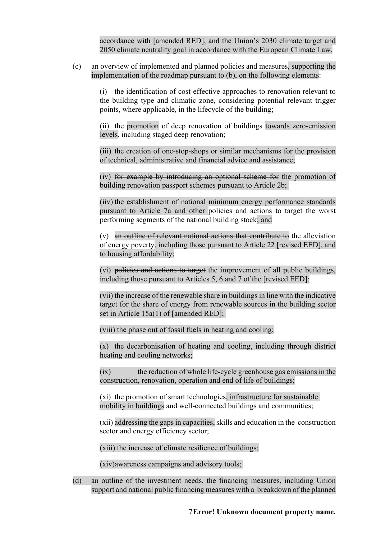accordance with [amended RED], and the Union's 2030 climate target and 2050 climate neutrality goal in accordance with the European Climate Law.

(c) an overview of implemented and planned policies and measures, supporting the implementation of the roadmap pursuant to (b), on the following elements:

> (i) the identification of cost-effective approaches to renovation relevant to the building type and climatic zone, considering potential relevant trigger points, where applicable, in the lifecycle of the building;

> (ii) the promotion of deep renovation of buildings towards zero-emission levels, including staged deep renovation;

> (iii) the creation of one-stop-shops or similar mechanisms for the provision of technical, administrative and financial advice and assistance;

> (iv) for example by introducing an optional scheme for the promotion of building renovation passport schemes pursuant to Article 2b;

> (iiv) the establishment of national minimum energy performance standards pursuant to Article 7a and other policies and actions to target the worst performing segments of the national building stock; and

> $(v)$  an outline of relevant national actions that contribute to the alleviation of energy poverty, including those pursuant to Article 22 [revised EED], and to housing affordability;

> (vi) policies and actions to target the improvement of all public buildings, including those pursuant to Articles 5, 6 and 7 of the [revised EED];

> (vii) the increase of the renewable share in buildings in line with the indicative target for the share of energy from renewable sources in the building sector set in Article 15a(1) of [amended RED];

(viii) the phase out of fossil fuels in heating and cooling;

(x) the decarbonisation of heating and cooling, including through district heating and cooling networks;

(ix) the reduction of whole life-cycle greenhouse gas emissions in the construction, renovation, operation and end of life of buildings;

(xi) the promotion of smart technologies, infrastructure for sustainable mobility in buildings and well-connected buildings and communities;

(xii) addressing the gaps in capacities, skills and education in the construction sector and energy efficiency sector;

(xiii) the increase of climate resilience of buildings;

(xiv)awareness campaigns and advisory tools;

(d) an outline of the investment needs, the financing measures, including Union support and national public financing measures with a breakdown of the planned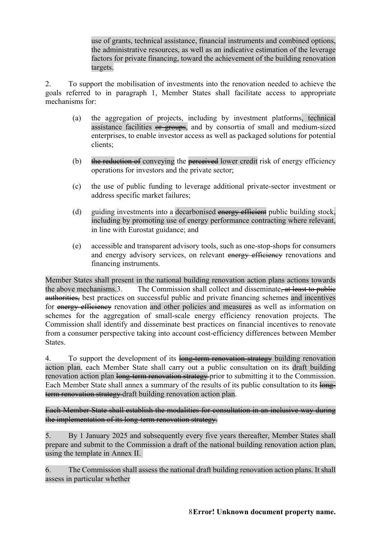use of grants, technical assistance, financial instruments and combined options, the administrative resources, as well as an indicative estimation of the leverage factors for private financing, toward the achievement of the building renovation targets.

2. To support the mobilisation of investments into the renovation needed to achieve the goals referred to in paragraph 1, Member States shall facilitate access to appropriate mechanisms for:

- (a) the aggregation of projects, including by investment platforms, technical assistance facilities or groups, and by consortia of small and medium-sized enterprises, to enable investor access as well as packaged solutions for potential clients;
- (b) the reduction of conveying the **perceived** lower credit risk of energy efficiency operations for investors and the private sector;
- (c) the use of public funding to leverage additional private-sector investment or address specific market failures;
- (d) guiding investments into a decarbonised energy efficient public building stock, including by promoting use of energy performance contracting where relevant, in line with Eurostat guidance; and
- (e) accessible and transparent advisory tools, such as one-stop-shops for consumers and energy advisory services, on relevant energy efficiency renovations and financing instruments.

Member States shall present in the national building renovation action plans actions towards the above mechanisms.3. The Commission shall collect and disseminate, at least to public authorities, best practices on successful public and private financing schemes and incentives for energy efficiency renovation and other policies and measures as well as information on schemes for the aggregation of small-scale energy efficiency renovation projects. The Commission shall identify and disseminate best practices on financial incentives to renovate from a consumer perspective taking into account cost-efficiency differences between Member States.

4. To support the development of its long-term renovation strategy building renovation action plan, each Member State shall carry out a public consultation on its draft building renovation action plan long-term renovation strategy prior to submitting it to the Commission. Each Member State shall annex a summary of the results of its public consultation to its longterm renovation strategy draft building renovation action plan.

Each Member State shall establish the modalities for consultation in an inclusive way during the implementation of its long-term renovation strategy.

5. By 1 January 2025 and subsequently every five years thereafter, Member States shall prepare and submit to the Commission a draft of the national building renovation action plan, using the template in Annex II.

6. The Commission shall assess the national draft building renovation action plans. It shall assess in particular whether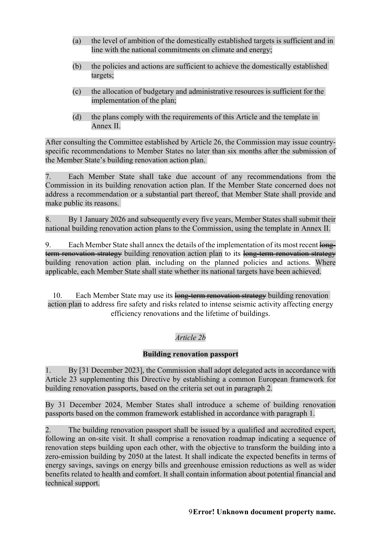- (a) the level of ambition of the domestically established targets is sufficient and in line with the national commitments on climate and energy;
- (b) the policies and actions are sufficient to achieve the domestically established targets;
- (c) the allocation of budgetary and administrative resources is sufficient for the implementation of the plan;
- (d) the plans comply with the requirements of this Article and the template in Annex II.

After consulting the Committee established by Article 26, the Commission may issue countryspecific recommendations to Member States no later than six months after the submission of the Member State's building renovation action plan.

7. Each Member State shall take due account of any recommendations from the Commission in its building renovation action plan. If the Member State concerned does not address a recommendation or a substantial part thereof, that Member State shall provide and make public its reasons.

8. By 1 January 2026 and subsequently every five years, Member States shall submit their national building renovation action plans to the Commission, using the template in Annex II.

9. Each Member State shall annex the details of the implementation of its most recent longterm renovation strategy building renovation action plan to its long-term renovation strategy building renovation action plan, including on the planned policies and actions. Where applicable, each Member State shall state whether its national targets have been achieved.

10. Each Member State may use its long-term renovation strategy building renovation action plan to address fire safety and risks related to intense seismic activity affecting energy efficiency renovations and the lifetime of buildings.

# *Article 2b*

### **Building renovation passport**

1. By [31 December 2023], the Commission shall adopt delegated acts in accordance with Article 23 supplementing this Directive by establishing a common European framework for building renovation passports, based on the criteria set out in paragraph 2.

By 31 December 2024, Member States shall introduce a scheme of building renovation passports based on the common framework established in accordance with paragraph 1.

2. The building renovation passport shall be issued by a qualified and accredited expert, following an on-site visit. It shall comprise a renovation roadmap indicating a sequence of renovation steps building upon each other, with the objective to transform the building into a zero-emission building by 2050 at the latest. It shall indicate the expected benefits in terms of energy savings, savings on energy bills and greenhouse emission reductions as well as wider benefits related to health and comfort. It shall contain information about potential financial and technical support.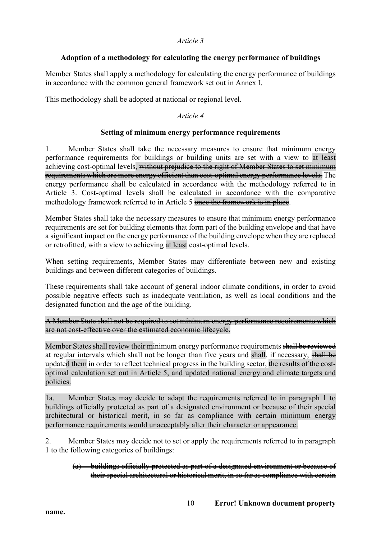#### *Article 3*

### **Adoption of a methodology for calculating the energy performance of buildings**

Member States shall apply a methodology for calculating the energy performance of buildings in accordance with the common general framework set out in Annex I.

This methodology shall be adopted at national or regional level.

## *Article 4*

### **Setting of minimum energy performance requirements**

1. Member States shall take the necessary measures to ensure that minimum energy performance requirements for buildings or building units are set with a view to at least achieving cost-optimal levels, without prejudice to the right of Member States to set minimum requirements which are more energy efficient than cost-optimal energy performance levels. The energy performance shall be calculated in accordance with the methodology referred to in Article 3. Cost-optimal levels shall be calculated in accordance with the comparative methodology framework referred to in Article 5 once the framework is in place.

Member States shall take the necessary measures to ensure that minimum energy performance requirements are set for building elements that form part of the building envelope and that have a significant impact on the energy performance of the building envelope when they are replaced or retrofitted, with a view to achieving at least cost-optimal levels.

When setting requirements, Member States may differentiate between new and existing buildings and between different categories of buildings.

These requirements shall take account of general indoor climate conditions, in order to avoid possible negative effects such as inadequate ventilation, as well as local conditions and the designated function and the age of the building.

A Member State shall not be required to set minimum energy performance requirements which are not cost-effective over the estimated economic lifecycle.

Member States shall review their minimum energy performance requirements shall be reviewed at regular intervals which shall not be longer than five years and shall, if necessary, shall be updated them in order to reflect technical progress in the building sector, the results of the costoptimal calculation set out in Article 5, and updated national energy and climate targets and policies.

1a. Member States may decide to adapt the requirements referred to in paragraph 1 to buildings officially protected as part of a designated environment or because of their special architectural or historical merit, in so far as compliance with certain minimum energy performance requirements would unacceptably alter their character or appearance.

2. Member States may decide not to set or apply the requirements referred to in paragraph 1 to the following categories of buildings:

(a) buildings officially protected as part of a designated environment or because of their special architectural or historical merit, in so far as compliance with certain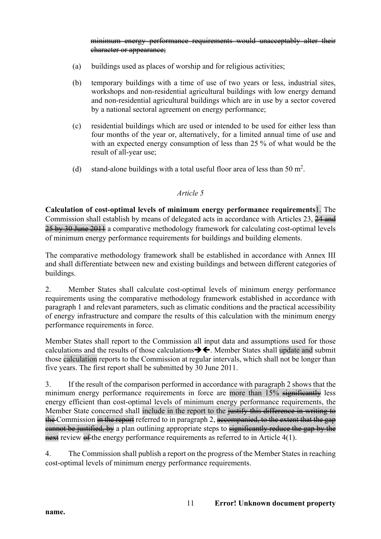minimum energy performance requirements would unacceptably alter their character or appearance;

- (a) buildings used as places of worship and for religious activities;
- (b) temporary buildings with a time of use of two years or less, industrial sites, workshops and non-residential agricultural buildings with low energy demand and non-residential agricultural buildings which are in use by a sector covered by a national sectoral agreement on energy performance;
- (c) residential buildings which are used or intended to be used for either less than four months of the year or, alternatively, for a limited annual time of use and with an expected energy consumption of less than 25 % of what would be the result of all-year use;
- (d) stand-alone buildings with a total useful floor area of less than  $50 \text{ m}^2$ .

#### *Article 5*

**Calculation of cost-optimal levels of minimum energy performance requirements**1. The Commission shall establish by means of delegated acts in accordance with Articles 23, 24 and 25 by 30 June 2011 a comparative methodology framework for calculating cost-optimal levels of minimum energy performance requirements for buildings and building elements.

The comparative methodology framework shall be established in accordance with Annex III and shall differentiate between new and existing buildings and between different categories of buildings.

2. Member States shall calculate cost-optimal levels of minimum energy performance requirements using the comparative methodology framework established in accordance with paragraph 1 and relevant parameters, such as climatic conditions and the practical accessibility of energy infrastructure and compare the results of this calculation with the minimum energy performance requirements in force.

Member States shall report to the Commission all input data and assumptions used for those calculations and the results of those calculations  $\rightarrow \leftarrow$ . Member States shall update and submit those calculation reports to the Commission at regular intervals, which shall not be longer than five years. The first report shall be submitted by 30 June 2011.

3. If the result of the comparison performed in accordance with paragraph 2 shows that the minimum energy performance requirements in force are more than 15% significantly less energy efficient than cost-optimal levels of minimum energy performance requirements, the Member State concerned shall include in the report to the <del>justify this difference in writing to</del> the Commission in the report referred to in paragraph 2, accompanied, to the extent that the gap eannot be justified, by a plan outlining appropriate steps to significantly reduce the gap by the next review of the energy performance requirements as referred to in Article 4(1).

4. The Commission shall publish a report on the progress of the Member States in reaching cost-optimal levels of minimum energy performance requirements.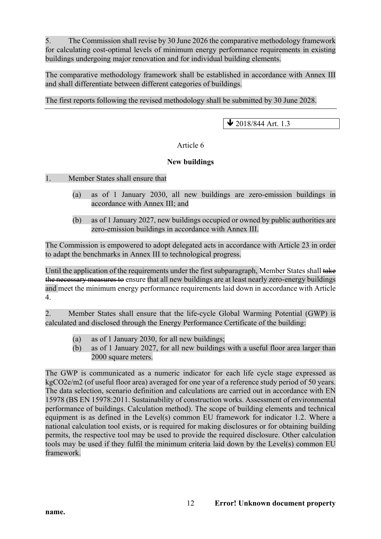5. The Commission shall revise by 30 June 2026 the comparative methodology framework for calculating cost-optimal levels of minimum energy performance requirements in existing buildings undergoing major renovation and for individual building elements.

The comparative methodology framework shall be established in accordance with Annex III and shall differentiate between different categories of buildings.

The first reports following the revised methodology shall be submitted by 30 June 2028.

 $\bigvee$  2018/844 Art. 1.3

### Article 6

### **New buildings**

1. Member States shall ensure that

- (a) as of 1 January 2030, all new buildings are zero-emission buildings in accordance with Annex III; and
- (b) as of 1 January 2027, new buildings occupied or owned by public authorities are zero-emission buildings in accordance with Annex III.

The Commission is empowered to adopt delegated acts in accordance with Article 23 in order to adapt the benchmarks in Annex III to technological progress.

Until the application of the requirements under the first subparagraph, Member States shall take the necessary measures to ensure that all new buildings are at least nearly zero-energy buildings and meet the minimum energy performance requirements laid down in accordance with Article 4.

2. Member States shall ensure that the life-cycle Global Warming Potential (GWP) is calculated and disclosed through the Energy Performance Certificate of the building:

- (a) as of 1 January 2030, for all new buildings;
- (b) as of 1 January 2027, for all new buildings with a useful floor area larger than 2000 square meters.

The GWP is communicated as a numeric indicator for each life cycle stage expressed as kgCO2e/m2 (of useful floor area) averaged for one year of a reference study period of 50 years. The data selection, scenario definition and calculations are carried out in accordance with EN 15978 (BS EN 15978:2011. Sustainability of construction works. Assessment of environmental performance of buildings. Calculation method). The scope of building elements and technical equipment is as defined in the Level(s) common EU framework for indicator 1.2. Where a national calculation tool exists, or is required for making disclosures or for obtaining building permits, the respective tool may be used to provide the required disclosure. Other calculation tools may be used if they fulfil the minimum criteria laid down by the Level(s) common EU framework.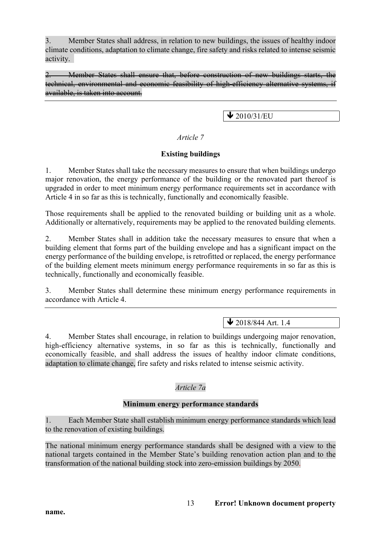3. Member States shall address, in relation to new buildings, the issues of healthy indoor climate conditions, adaptation to climate change, fire safety and risks related to intense seismic activity.

2. Member States shall ensure that, before construction of new buildings starts, the technical, environmental and economic feasibility of high-efficiency alternative systems, available, is taken into account.

# $\bigvee$  2010/31/EU

### *Article 7*

### **Existing buildings**

1. Member States shall take the necessary measures to ensure that when buildings undergo major renovation, the energy performance of the building or the renovated part thereof is upgraded in order to meet minimum energy performance requirements set in accordance with Article 4 in so far as this is technically, functionally and economically feasible.

Those requirements shall be applied to the renovated building or building unit as a whole. Additionally or alternatively, requirements may be applied to the renovated building elements.

2. Member States shall in addition take the necessary measures to ensure that when a building element that forms part of the building envelope and has a significant impact on the energy performance of the building envelope, is retrofitted or replaced, the energy performance of the building element meets minimum energy performance requirements in so far as this is technically, functionally and economically feasible.

3. Member States shall determine these minimum energy performance requirements in accordance with Article 4.

# $\sqrt{2018/844 \text{ Art. } 1.4}$

4. Member States shall encourage, in relation to buildings undergoing major renovation, high-efficiency alternative systems, in so far as this is technically, functionally and economically feasible, and shall address the issues of healthy indoor climate conditions, adaptation to climate change, fire safety and risks related to intense seismic activity.

# *Article 7a*

### **Minimum energy performance standards**

1. Each Member State shall establish minimum energy performance standards which lead to the renovation of existing buildings.

The national minimum energy performance standards shall be designed with a view to the national targets contained in the Member State's building renovation action plan and to the transformation of the national building stock into zero-emission buildings by 2050.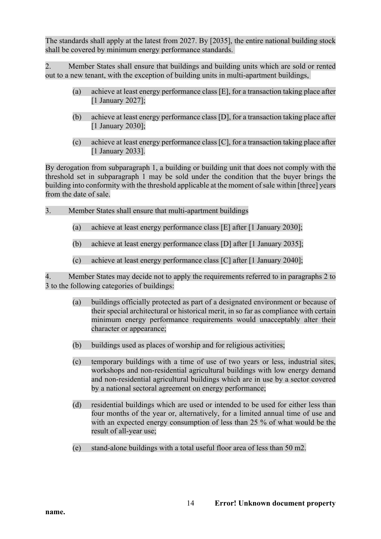The standards shall apply at the latest from 2027. By [2035], the entire national building stock shall be covered by minimum energy performance standards.

2. Member States shall ensure that buildings and building units which are sold or rented out to a new tenant, with the exception of building units in multi-apartment buildings,

- (a) achieve at least energy performance class [E], for a transaction taking place after [1 January 2027];
- (b) achieve at least energy performance class [D], for a transaction taking place after [1 January 2030];
- (c) achieve at least energy performance class [C], for a transaction taking place after [1 January 2033].

By derogation from subparagraph 1, a building or building unit that does not comply with the threshold set in subparagraph 1 may be sold under the condition that the buyer brings the building into conformity with the threshold applicable at the moment of sale within [three] years from the date of sale.

- 3. Member States shall ensure that multi-apartment buildings
	- (a) achieve at least energy performance class [E] after [1 January 2030];
	- (b) achieve at least energy performance class [D] after [1 January 2035];
	- (c) achieve at least energy performance class [C] after [1 January 2040];

4. Member States may decide not to apply the requirements referred to in paragraphs 2 to 3 to the following categories of buildings:

- (a) buildings officially protected as part of a designated environment or because of their special architectural or historical merit, in so far as compliance with certain minimum energy performance requirements would unacceptably alter their character or appearance;
- (b) buildings used as places of worship and for religious activities;
- (c) temporary buildings with a time of use of two years or less, industrial sites, workshops and non-residential agricultural buildings with low energy demand and non-residential agricultural buildings which are in use by a sector covered by a national sectoral agreement on energy performance;
- (d) residential buildings which are used or intended to be used for either less than four months of the year or, alternatively, for a limited annual time of use and with an expected energy consumption of less than 25 % of what would be the result of all-year use;
- (e) stand-alone buildings with a total useful floor area of less than 50 m2.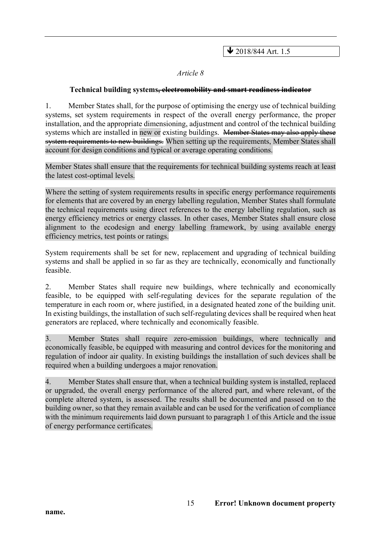$\bigvee$  2018/844 Art. 1.5

#### *Article 8*

#### **Technical building systems, electromobility and smart readiness indicator**

1. Member States shall, for the purpose of optimising the energy use of technical building systems, set system requirements in respect of the overall energy performance, the proper installation, and the appropriate dimensioning, adjustment and control of the technical building systems which are installed in new or existing buildings. Member States may also apply these system requirements to new buildings. When setting up the requirements, Member States shall account for design conditions and typical or average operating conditions.

Member States shall ensure that the requirements for technical building systems reach at least the latest cost-optimal levels.

Where the setting of system requirements results in specific energy performance requirements for elements that are covered by an energy labelling regulation, Member States shall formulate the technical requirements using direct references to the energy labelling regulation, such as energy efficiency metrics or energy classes. In other cases, Member States shall ensure close alignment to the ecodesign and energy labelling framework, by using available energy efficiency metrics, test points or ratings.

System requirements shall be set for new, replacement and upgrading of technical building systems and shall be applied in so far as they are technically, economically and functionally feasible.

2. Member States shall require new buildings, where technically and economically feasible, to be equipped with self-regulating devices for the separate regulation of the temperature in each room or, where justified, in a designated heated zone of the building unit. In existing buildings, the installation of such self-regulating devices shall be required when heat generators are replaced, where technically and economically feasible.

3. Member States shall require zero-emission buildings, where technically and economically feasible, be equipped with measuring and control devices for the monitoring and regulation of indoor air quality. In existing buildings the installation of such devices shall be required when a building undergoes a major renovation.

4. Member States shall ensure that, when a technical building system is installed, replaced or upgraded, the overall energy performance of the altered part, and where relevant, of the complete altered system, is assessed. The results shall be documented and passed on to the building owner, so that they remain available and can be used for the verification of compliance with the minimum requirements laid down pursuant to paragraph 1 of this Article and the issue of energy performance certificates.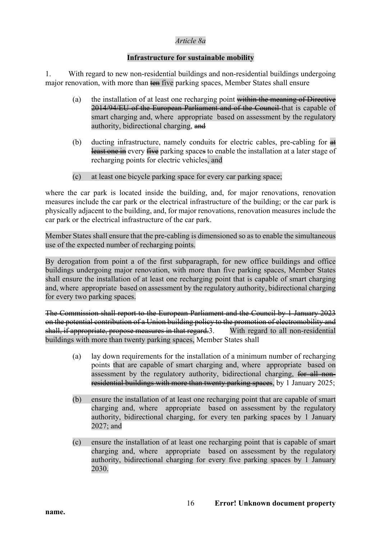### *Article 8a*

### **Infrastructure for sustainable mobility**

1. With regard to new non-residential buildings and non-residential buildings undergoing major renovation, with more than ten five parking spaces, Member States shall ensure

- (a) the installation of at least one recharging point within the meaning of Directive 2014/94/EU of the European Parliament and of the Council that is capable of smart charging and, where appropriate based on assessment by the regulatory authority, bidirectional charging, and
- (b) ducting infrastructure, namely conduits for electric cables, pre-cabling for  $\frac{4}{\pi}$ least one in every five parking spaces to enable the installation at a later stage of recharging points for electric vehicles, and
- (c) at least one bicycle parking space for every car parking space;

where the car park is located inside the building, and, for major renovations, renovation measures include the car park or the electrical infrastructure of the building; or the car park is physically adjacent to the building, and, for major renovations, renovation measures include the car park or the electrical infrastructure of the car park.

Member States shall ensure that the pre-cabling is dimensioned so as to enable the simultaneous use of the expected number of recharging points.

By derogation from point a of the first subparagraph, for new office buildings and office buildings undergoing major renovation, with more than five parking spaces, Member States shall ensure the installation of at least one recharging point that is capable of smart charging and, where appropriate based on assessment by the regulatory authority, bidirectional charging for every two parking spaces.

The Commission shall report to the European Parliament and the Council by 1 January 2023 on the potential contribution of a Union building policy to the promotion of electromobility and shall, if appropriate, propose measures in that regard. 3. With regard to all non-residential buildings with more than twenty parking spaces, Member States shall

- (a) lay down requirements for the installation of a minimum number of recharging points that are capable of smart charging and, where appropriate based on assessment by the regulatory authority, bidirectional charging, for all nonresidential buildings with more than twenty parking spaces, by 1 January 2025;
- (b) ensure the installation of at least one recharging point that are capable of smart charging and, where appropriate based on assessment by the regulatory authority, bidirectional charging, for every ten parking spaces by 1 January 2027; and
- (c) ensure the installation of at least one recharging point that is capable of smart charging and, where appropriate based on assessment by the regulatory authority, bidirectional charging for every five parking spaces by 1 January 2030.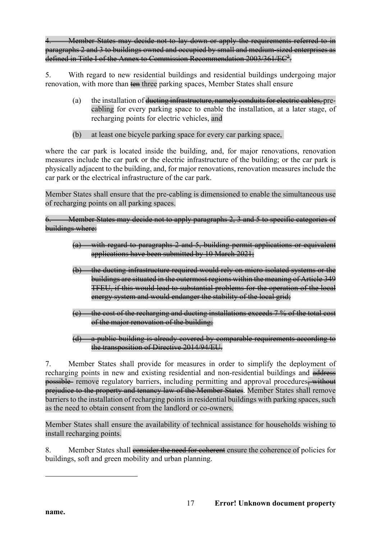Member States may decide not to lay down or apply the requirements referred to in paragraphs 2 and 3 to buildings owned and occupied by small and medium-sized enterprises as defined in Title I of the Annex to Commission Recommendation 2003/361/EC<sup>2</sup>.

5. With regard to new residential buildings and residential buildings undergoing major renovation, with more than ten three parking spaces, Member States shall ensure

- (a) the installation of ducting infrastructure, namely conduits for electric cables, precabling for every parking space to enable the installation, at a later stage, of recharging points for electric vehicles, and
- (b) at least one bicycle parking space for every car parking space,

where the car park is located inside the building, and, for major renovations, renovation measures include the car park or the electric infrastructure of the building; or the car park is physically adjacent to the building, and, for major renovations, renovation measures include the car park or the electrical infrastructure of the car park.

Member States shall ensure that the pre-cabling is dimensioned to enable the simultaneous use of recharging points on all parking spaces.

Member States may decide not to apply paragraphs 2, 3 and 5 to specific categories of buildings where:

- (a) with regard to paragraphs 2 and 5, building permit applications or equivalent applications have been submitted by 10 March 2021;
- (b) the ducting infrastructure required would rely on micro isolated systems or the buildings are situated in the outermost regions within the meaning of Article 349 TFEU, if this would lead to substantial problems for the operation of the local energy system and would endanger the stability of the local grid;
- (c) the cost of the recharging and ducting installations exceeds 7 % of the total cost of the major renovation of the building;
- (d) a public building is already covered by comparable requirements according to the transposition of Directive 2014/94/EU.

7. Member States shall provide for measures in order to simplify the deployment of recharging points in new and existing residential and non-residential buildings and address possible remove regulatory barriers, including permitting and approval procedures, without prejudice to the property and tenancy law of the Member States. Member States shall remove barriers to the installation of recharging points in residential buildings with parking spaces, such as the need to obtain consent from the landlord or co-owners.

Member States shall ensure the availability of technical assistance for households wishing to install recharging points.

8. Member States shall consider the need for coherent ensure the coherence of policies for buildings, soft and green mobility and urban planning.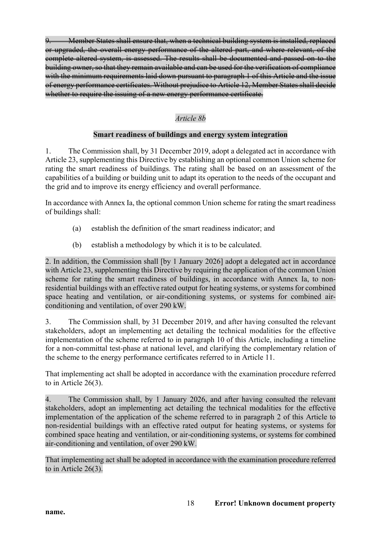9. Member States shall ensure that, when a technical building system is installed, replaced or upgraded, the overall energy performance of the altered part, and where relevant, of the complete altered system, is assessed. The results shall be documented and passed on to the building owner, so that they remain available and can be used for the verification of compliance with the minimum requirements laid down pursuant to paragraph 1 of this Article and the issue of energy performance certificates. Without prejudice to Article 12, Member States shall decide whether to require the issuing of a new energy performance certificate.

# *Article 8b*

### **Smart readiness of buildings and energy system integration**

1. The Commission shall, by 31 December 2019, adopt a delegated act in accordance with Article 23, supplementing this Directive by establishing an optional common Union scheme for rating the smart readiness of buildings. The rating shall be based on an assessment of the capabilities of a building or building unit to adapt its operation to the needs of the occupant and the grid and to improve its energy efficiency and overall performance.

In accordance with Annex Ia, the optional common Union scheme for rating the smart readiness of buildings shall:

- (a) establish the definition of the smart readiness indicator; and
- (b) establish a methodology by which it is to be calculated.

2. In addition, the Commission shall [by 1 January 2026] adopt a delegated act in accordance with Article 23, supplementing this Directive by requiring the application of the common Union scheme for rating the smart readiness of buildings, in accordance with Annex Ia, to nonresidential buildings with an effective rated output for heating systems, or systems for combined space heating and ventilation, or air-conditioning systems, or systems for combined airconditioning and ventilation, of over 290 kW.

3. The Commission shall, by 31 December 2019, and after having consulted the relevant stakeholders, adopt an implementing act detailing the technical modalities for the effective implementation of the scheme referred to in paragraph 10 of this Article, including a timeline for a non-committal test-phase at national level, and clarifying the complementary relation of the scheme to the energy performance certificates referred to in Article 11.

That implementing act shall be adopted in accordance with the examination procedure referred to in Article 26(3).

4. The Commission shall, by 1 January 2026, and after having consulted the relevant stakeholders, adopt an implementing act detailing the technical modalities for the effective implementation of the application of the scheme referred to in paragraph 2 of this Article to non-residential buildings with an effective rated output for heating systems, or systems for combined space heating and ventilation, or air-conditioning systems, or systems for combined air-conditioning and ventilation, of over 290 kW.

That implementing act shall be adopted in accordance with the examination procedure referred to in Article 26(3).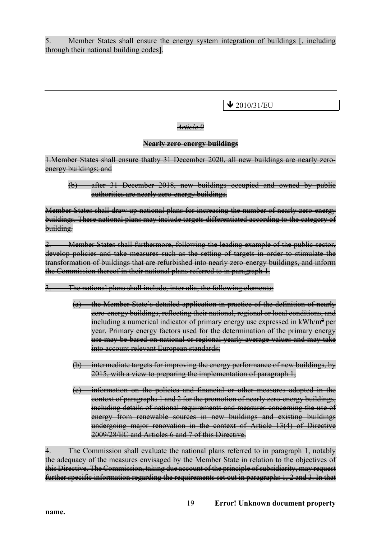5. Member States shall ensure the energy system integration of buildings [, including through their national building codes].

 $\bigvee$  2010/31/EU

### *Article 9*

### **Nearly zero-energy buildings**

1.Member States shall ensure thatby 31 December 2020, all new buildings are nearly zeroenergy buildings; and

(b) after 31 December 2018, new buildings occupied and owned by public authorities are nearly zero-energy buildings.

Member States shall draw up national plans for increasing the number of nearly zero-energy buildings. These national plans may include targets differentiated according to the category of building.

Member States shall furthermore, following the leading example of the public sector, develop policies and take measures such as the setting of targets in order to stimulate the transformation of buildings that are refurbished into nearly zero-energy buildings, and inform the Commission thereof in their national plans referred to in paragraph 1.

- The national plans shall include, inter alia, the following elements:
	- (a) the Member State's detailed application in practice of the definition of nearly zero-energy buildings, reflecting their national, regional or local conditions, and including a numerical indicator of primary energy use expressed in  $kWh/m^2$  per year. Primary energy factors used for the determination of the primary energy use may be based on national or regional yearly average values and may take into account relevant European standards;
	- (b) intermediate targets for improving the energy performance of new buildings, by 2015, with a view to preparing the implementation of paragraph 1;
	- (c) information on the policies and financial or other measures adopted in the eontext of paragraphs 1 and 2 for the promotion of nearly zero-energy buildings, including details of national requirements and measures concerning the use of energy from renewable sources in new buildings and existing buildings undergoing major renovation in the context of Article 13(4) of Directive 2009/28/EC and Articles 6 and 7 of this Directive.

The Commission shall evaluate the national plans referred to in paragraph 1, notably the adequacy of the measures envisaged by the Member State in relation to the objectives of this Directive. The Commission, taking due account of the principle of subsidiarity, may request further specific information regarding the requirements set out in paragraphs 1, 2 and 3. In that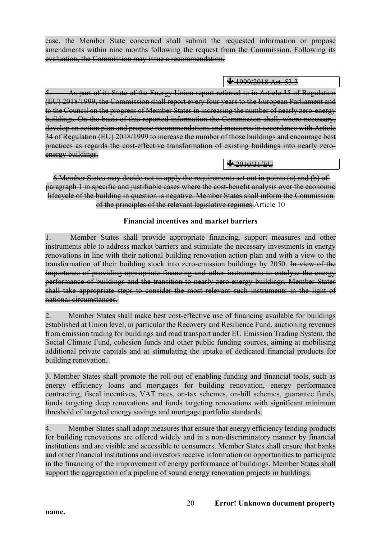case, the Member State concerned shall submit the requested information or propose amendments within nine months following the request from the Commission. Following its evaluation, the Commission may issue a recommendation.

 $\bigvee 1999/2018$  Art. 53.3

5. As part of its State of the Energy Union report referred to in Article 35 of Regulation (EU) 2018/1999, the Commission shall report every four years to the European Parliament and to the Council on the progress of Member States in increasing the number of nearly zero-energy buildings. On the basis of this reported information the Commission shall, where necessary, develop an action plan and propose recommendations and measures in accordance with Article 34 of Regulation (EU) 2018/1999 to increase the number of those buildings and encourage best practices as regards the cost-effective transformation of existing buildings into nearly zeroenergy buildings.

 $\bigvee 2010/31/FU$ 

6.Member States may decide not to apply the requirements set out in points (a) and (b) of paragraph 1 in specific and justifiable cases where the cost-benefit analysis over the economic lifecycle of the building in question is negative. Member States shall inform the Commission of the principles of the relevant legislative regimes. Article 10

# **Financial incentives and market barriers**

1. Member States shall provide appropriate financing, support measures and other instruments able to address market barriers and stimulate the necessary investments in energy renovations in line with their national building renovation action plan and with a view to the transformation of their building stock into zero-emission buildings by 2050. In view of the importance of providing appropriate financing and other instruments to catalyse the energy performance of buildings and the transition to nearly zero-energy buildings, Member States shall take appropriate steps to consider the most relevant such instruments in the light of national circumstances.

2. Member States shall make best cost-effective use of financing available for buildings established at Union level, in particular the Recovery and Resilience Fund, auctioning revenues from emission trading for buildings and road transport under EU Emission Trading System, the Social Climate Fund, cohesion funds and other public funding sources, aiming at mobilising additional private capitals and at stimulating the uptake of dedicated financial products for building renovation.

3. Member States shall promote the roll-out of enabling funding and financial tools, such as energy efficiency loans and mortgages for building renovation, energy performance contracting, fiscal incentives, VAT rates, on-tax schemes, on-bill schemes, guarantee funds, funds targeting deep renovations and funds targeting renovations with significant minimum threshold of targeted energy savings and mortgage portfolio standards.

4. Member States shall adopt measures that ensure that energy efficiency lending products for building renovations are offered widely and in a non-discriminatory manner by financial institutions and are visible and accessible to consumers. Member States shall ensure that banks and other financial institutions and investors receive information on opportunities to participate in the financing of the improvement of energy performance of buildings. Member States shall support the aggregation of a pipeline of sound energy renovation projects in buildings.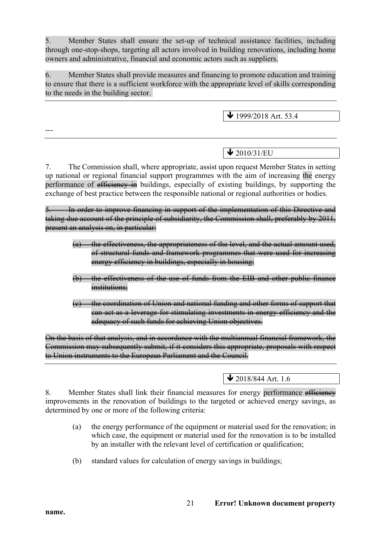5. Member States shall ensure the set-up of technical assistance facilities, including through one-stop-shops, targeting all actors involved in building renovations, including home owners and administrative, financial and economic actors such as suppliers.

6. Member States shall provide measures and financing to promote education and training to ensure that there is a sufficient workforce with the appropriate level of skills corresponding to the needs in the building sector.

 $\bigvee$  1999/2018 Art. 53.4

# $\bigvee$  2010/31/EU

7. The Commission shall, where appropriate, assist upon request Member States in setting up national or regional financial support programmes with the aim of increasing the energy performance of efficiency in buildings, especially of existing buildings, by supporting the exchange of best practice between the responsible national or regional authorities or bodies.

In order to improve financing in support of the implementation of this Directive and taking due account of the principle of subsidiarity, the Commission shall, preferably by 2011, present an analysis on, in particular:

- (a) the effectiveness, the appropriateness of the level, and the actual amount used, of structural funds and framework programmes that were used for increasing energy efficiency in buildings, especially in housing;
- (b) the effectiveness of the use of funds from the EIB and other public finance institutions;
- (c) the coordination of Union and national funding and other forms of support that can act as a leverage for stimulating investments in energy efficiency and the adequacy of such funds for achieving Union objectives.

On the basis of that analysis, and in accordance with the multiannual financial framework, the Commission may subsequently submit, if it considers this appropriate, proposals with respect to Union instruments to the European Parliament and the Council.

 $\bigvee$  2018/844 Art. 1.6

8. Member States shall link their financial measures for energy performance efficiency improvements in the renovation of buildings to the targeted or achieved energy savings, as determined by one or more of the following criteria:

- (a) the energy performance of the equipment or material used for the renovation; in which case, the equipment or material used for the renovation is to be installed by an installer with the relevant level of certification or qualification;
- (b) standard values for calculation of energy savings in buildings;

---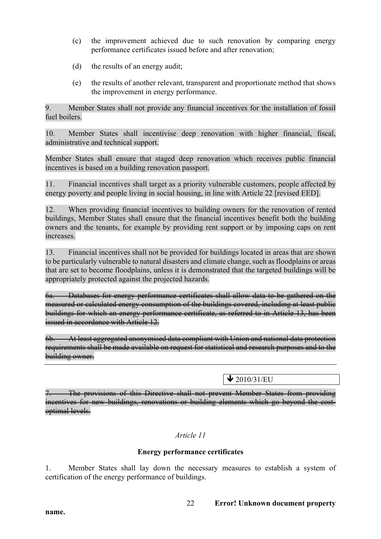- (c) the improvement achieved due to such renovation by comparing energy performance certificates issued before and after renovation;
- (d) the results of an energy audit;
- (e) the results of another relevant, transparent and proportionate method that shows the improvement in energy performance.

9. Member States shall not provide any financial incentives for the installation of fossil fuel boilers.

10. Member States shall incentivise deep renovation with higher financial, fiscal, administrative and technical support.

Member States shall ensure that staged deep renovation which receives public financial incentives is based on a building renovation passport.

11. Financial incentives shall target as a priority vulnerable customers, people affected by energy poverty and people living in social housing, in line with Article 22 [revised EED].

12. When providing financial incentives to building owners for the renovation of rented buildings, Member States shall ensure that the financial incentives benefit both the building owners and the tenants, for example by providing rent support or by imposing caps on rent increases.

13. Financial incentives shall not be provided for buildings located in areas that are shown to be particularly vulnerable to natural disasters and climate change, such as floodplains or areas that are set to become floodplains, unless it is demonstrated that the targeted buildings will be appropriately protected against the projected hazards.

6a. Databases for energy performance certificates shall allow data to be gathered on the measured or calculated energy consumption of the buildings covered, including at least public buildings for which an energy performance certificate, as referred to in Article 13, has been issued in accordance with Article 12.

6b. At least aggregated anonymised data compliant with Union and national data protection requirements shall be made available on request for statistical and research purposes and to the building owner.

 $\sqrt{2010/31/EU}$ 

The provisions of this Directive shall not prevent Member States from providing incentives for new buildings, renovations or building elements which go beyond the costoptimal levels.

*Article 11*

### **Energy performance certificates**

1. Member States shall lay down the necessary measures to establish a system of certification of the energy performance of buildings.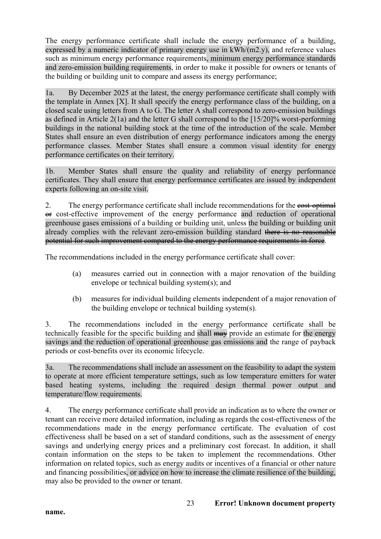The energy performance certificate shall include the energy performance of a building, expressed by a numeric indicator of primary energy use in kWh/(m2.y), and reference values such as minimum energy performance requirements, minimum energy performance standards and zero-emission building requirements, in order to make it possible for owners or tenants of the building or building unit to compare and assess its energy performance;

1a. By December 2025 at the latest, the energy performance certificate shall comply with the template in Annex [X]. It shall specify the energy performance class of the building, on a closed scale using letters from A to G. The letter A shall correspond to zero-emission buildings as defined in Article 2(1a) and the letter G shall correspond to the [15/20]% worst-performing buildings in the national building stock at the time of the introduction of the scale. Member States shall ensure an even distribution of energy performance indicators among the energy performance classes. Member States shall ensure a common visual identity for energy performance certificates on their territory.

1b. Member States shall ensure the quality and reliability of energy performance certificates. They shall ensure that energy performance certificates are issued by independent experts following an on-site visit.

2. The energy performance certificate shall include recommendations for the eost-optimal or cost-effective improvement of the energy performance and reduction of operational greenhouse gases emissions of a building or building unit, unless the building or building unit already complies with the relevant zero-emission building standard there is no reasonable potential for such improvement compared to the energy performance requirements in force.

The recommendations included in the energy performance certificate shall cover:

- (a) measures carried out in connection with a major renovation of the building envelope or technical building system(s); and
- (b) measures for individual building elements independent of a major renovation of the building envelope or technical building system(s).

3. The recommendations included in the energy performance certificate shall be technically feasible for the specific building and shall may provide an estimate for the energy savings and the reduction of operational greenhouse gas emissions and the range of payback periods or cost-benefits over its economic lifecycle.

3a. The recommendations shall include an assessment on the feasibility to adapt the system to operate at more efficient temperature settings, such as low temperature emitters for water based heating systems, including the required design thermal power output and temperature/flow requirements.

4. The energy performance certificate shall provide an indication as to where the owner or tenant can receive more detailed information, including as regards the cost-effectiveness of the recommendations made in the energy performance certificate. The evaluation of cost effectiveness shall be based on a set of standard conditions, such as the assessment of energy savings and underlying energy prices and a preliminary cost forecast. In addition, it shall contain information on the steps to be taken to implement the recommendations. Other information on related topics, such as energy audits or incentives of a financial or other nature and financing possibilities, or advice on how to increase the climate resilience of the building, may also be provided to the owner or tenant.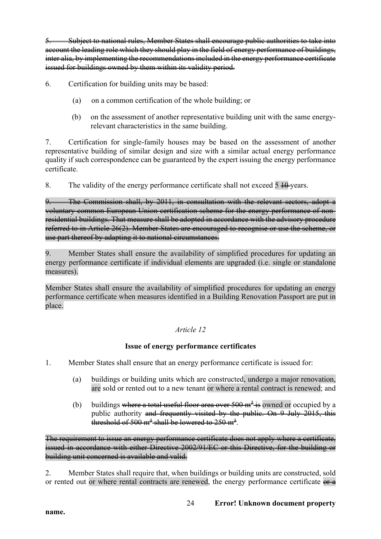5. Subject to national rules, Member States shall encourage public authorities to take into account the leading role which they should play in the field of energy performance of buildings, inter alia, by implementing the recommendations included in the energy performance certificate issued for buildings owned by them within its validity period.

6. Certification for building units may be based:

- (a) on a common certification of the whole building; or
- (b) on the assessment of another representative building unit with the same energyrelevant characteristics in the same building.

7. Certification for single-family houses may be based on the assessment of another representative building of similar design and size with a similar actual energy performance quality if such correspondence can be guaranteed by the expert issuing the energy performance certificate.

8. The validity of the energy performance certificate shall not exceed  $5 + 0$  years.

9. The Commission shall, by 2011, in consultation with the relevant sectors, adopt a voluntary common European Union certification scheme for the energy performance of nonresidential buildings. That measure shall be adopted in accordance with the advisory procedure referred to in Article 26(2). Member States are encouraged to recognise or use the scheme, or use part thereof by adapting it to national circumstances.

9. Member States shall ensure the availability of simplified procedures for updating an energy performance certificate if individual elements are upgraded (i.e. single or standalone measures).

Member States shall ensure the availability of simplified procedures for updating an energy performance certificate when measures identified in a Building Renovation Passport are put in place.

# *Article 12*

### **Issue of energy performance certificates**

- 1. Member States shall ensure that an energy performance certificate is issued for:
	- (a) buildings or building units which are constructed, undergo a major renovation, are sold or rented out to a new tenant or where a rental contract is renewed; and
	- (b) buildings where a total useful floor area over  $500 \text{ m}^2$  is owned or occupied by a public authority and frequently visited by the public. On  $9$  July 2015, this threshold of 500 m<sup>2</sup> shall be lowered to 250 m<sup>2</sup>.

The requirement to issue an energy performance certificate does not apply where a certificate, issued in accordance with either Directive 2002/91/EC or this Directive, for the building or building unit concerned is available and valid.

2. Member States shall require that, when buildings or building units are constructed, sold or rented out or where rental contracts are renewed, the energy performance certificate  $er \cdot a$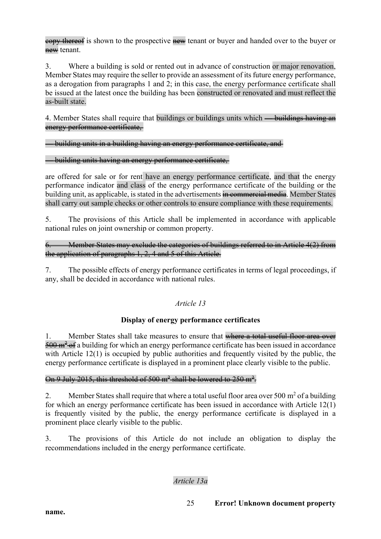eopy thereof is shown to the prospective new tenant or buyer and handed over to the buyer or new tenant.

3. Where a building is sold or rented out in advance of construction or major renovation, Member States may require the seller to provide an assessment of its future energy performance, as a derogation from paragraphs 1 and 2; in this case, the energy performance certificate shall be issued at the latest once the building has been constructed or renovated and must reflect the as-built state.

4. Member States shall require that buildings or buildings units which — buildings having an energy performance certificate,

### — building units in a building having an energy performance certificate, and

### — building units having an energy performance certificate,

are offered for sale or for rent have an energy performance certificate, and that the energy performance indicator and class of the energy performance certificate of the building or the building unit, as applicable, is stated in the advertisements in commercial media. Member States shall carry out sample checks or other controls to ensure compliance with these requirements.

5. The provisions of this Article shall be implemented in accordance with applicable national rules on joint ownership or common property.

6. Member States may exclude the categories of buildings referred to in Article 4(2) from the application of paragraphs 1, 2, 4 and 5 of this Article.

7. The possible effects of energy performance certificates in terms of legal proceedings, if any, shall be decided in accordance with national rules.

# *Article 13*

### **Display of energy performance certificates**

1. Member States shall take measures to ensure that where a total useful floor area over  $\frac{500 \text{ m}^2 \cdot \text{eff}}{200 \text{ m}^2 \cdot \text{eff}}$  a building for which an energy performance certificate has been issued in accordance with Article 12(1) is occupied by public authorities and frequently visited by the public, the energy performance certificate is displayed in a prominent place clearly visible to the public.

### On 9 July 2015, this threshold of 500 m<sup>2</sup> shall be lowered to 250 m<sup>2</sup>.

2. Member States shall require that where a total useful floor area over 500  $m<sup>2</sup>$  of a building for which an energy performance certificate has been issued in accordance with Article 12(1) is frequently visited by the public, the energy performance certificate is displayed in a prominent place clearly visible to the public.

3. The provisions of this Article do not include an obligation to display the recommendations included in the energy performance certificate.

# *Article 13a*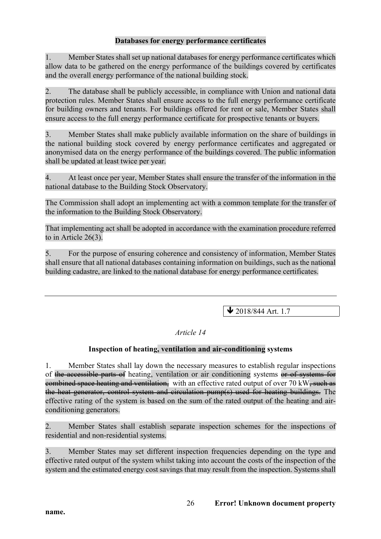### **Databases for energy performance certificates**

1. Member States shall set up national databases for energy performance certificates which allow data to be gathered on the energy performance of the buildings covered by certificates and the overall energy performance of the national building stock.

2. The database shall be publicly accessible, in compliance with Union and national data protection rules. Member States shall ensure access to the full energy performance certificate for building owners and tenants. For buildings offered for rent or sale, Member States shall ensure access to the full energy performance certificate for prospective tenants or buyers.

3. Member States shall make publicly available information on the share of buildings in the national building stock covered by energy performance certificates and aggregated or anonymised data on the energy performance of the buildings covered. The public information shall be updated at least twice per year.

4. At least once per year, Member States shall ensure the transfer of the information in the national database to the Building Stock Observatory.

The Commission shall adopt an implementing act with a common template for the transfer of the information to the Building Stock Observatory.

That implementing act shall be adopted in accordance with the examination procedure referred to in Article 26(3).

5. For the purpose of ensuring coherence and consistency of information, Member States shall ensure that all national databases containing information on buildings, such as the national building cadastre, are linked to the national database for energy performance certificates.

 $\blacktriangleright$  2018/844 Art. 1.7

### *Article 14*

### **Inspection of heating, ventilation and air-conditioning systems**

1. Member States shall lay down the necessary measures to establish regular inspections of the accessible parts of heating, ventilation or air conditioning systems or of systems for eombined space heating and ventilation, with an effective rated output of over 70 kW, such as the heat generator, control system and circulation pump(s) used for heating buildings. The effective rating of the system is based on the sum of the rated output of the heating and airconditioning generators.

2. Member States shall establish separate inspection schemes for the inspections of residential and non-residential systems.

3. Member States may set different inspection frequencies depending on the type and effective rated output of the system whilst taking into account the costs of the inspection of the system and the estimated energy cost savings that may result from the inspection. Systems shall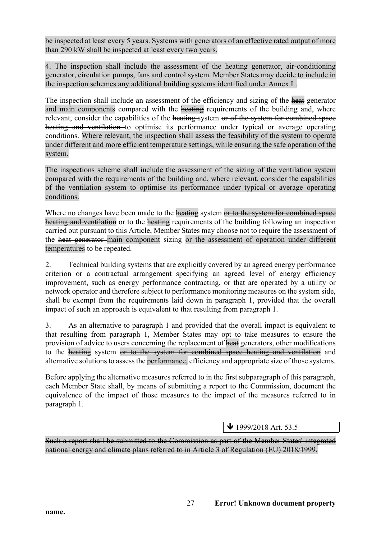be inspected at least every 5 years. Systems with generators of an effective rated output of more than 290 kW shall be inspected at least every two years.

4. The inspection shall include the assessment of the heating generator, air-conditioning generator, circulation pumps, fans and control system. Member States may decide to include in the inspection schemes any additional building systems identified under Annex I .

The inspection shall include an assessment of the efficiency and sizing of the heat generator and main components compared with the heating requirements of the building and, where relevant, consider the capabilities of the heating system or of the system for combined space heating and ventilation to optimise its performance under typical or average operating conditions. Where relevant, the inspection shall assess the feasibility of the system to operate under different and more efficient temperature settings, while ensuring the safe operation of the system.

The inspections scheme shall include the assessment of the sizing of the ventilation system compared with the requirements of the building and, where relevant, consider the capabilities of the ventilation system to optimise its performance under typical or average operating conditions.

Where no changes have been made to the heating system or to the system for combined space heating and ventilation or to the heating requirements of the building following an inspection carried out pursuant to this Article, Member States may choose not to require the assessment of the heat generator main component sizing or the assessment of operation under different temperatures to be repeated.

2. Technical building systems that are explicitly covered by an agreed energy performance criterion or a contractual arrangement specifying an agreed level of energy efficiency improvement, such as energy performance contracting, or that are operated by a utility or network operator and therefore subject to performance monitoring measures on the system side, shall be exempt from the requirements laid down in paragraph 1, provided that the overall impact of such an approach is equivalent to that resulting from paragraph 1.

3. As an alternative to paragraph 1 and provided that the overall impact is equivalent to that resulting from paragraph 1, Member States may opt to take measures to ensure the provision of advice to users concerning the replacement of heat generators, other modifications to the heating system or to the system for combined space heating and ventilation and alternative solutions to assess the performance, efficiency and appropriate size of those systems.

Before applying the alternative measures referred to in the first subparagraph of this paragraph, each Member State shall, by means of submitting a report to the Commission, document the equivalence of the impact of those measures to the impact of the measures referred to in paragraph 1.

ê 1999/2018 Art. 53.5

Such a report shall be submitted to the Commission as part of the Member States' integrated national energy and climate plans referred to in Article 3 of Regulation (EU) 2018/1999.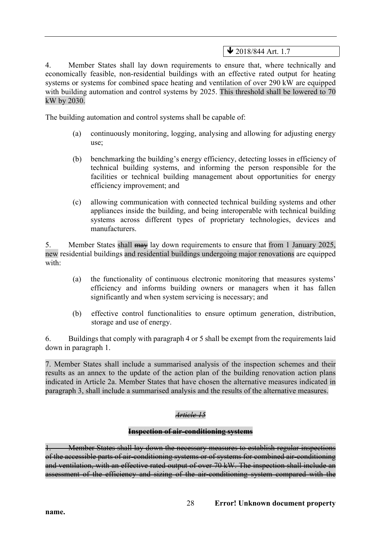## $\bigvee$  2018/844 Art. 1.7

4. Member States shall lay down requirements to ensure that, where technically and economically feasible, non-residential buildings with an effective rated output for heating systems or systems for combined space heating and ventilation of over 290 kW are equipped with building automation and control systems by 2025. This threshold shall be lowered to 70 kW by 2030.

The building automation and control systems shall be capable of:

- (a) continuously monitoring, logging, analysing and allowing for adjusting energy use;
- (b) benchmarking the building's energy efficiency, detecting losses in efficiency of technical building systems, and informing the person responsible for the facilities or technical building management about opportunities for energy efficiency improvement; and
- (c) allowing communication with connected technical building systems and other appliances inside the building, and being interoperable with technical building systems across different types of proprietary technologies, devices and manufacturers.

5. Member States shall  $\frac{m}{m}$  lay down requirements to ensure that from 1 January 2025, new residential buildings and residential buildings undergoing major renovations are equipped with:

- (a) the functionality of continuous electronic monitoring that measures systems' efficiency and informs building owners or managers when it has fallen significantly and when system servicing is necessary; and
- (b) effective control functionalities to ensure optimum generation, distribution, storage and use of energy.

6. Buildings that comply with paragraph 4 or 5 shall be exempt from the requirements laid down in paragraph 1.

7. Member States shall include a summarised analysis of the inspection schemes and their results as an annex to the update of the action plan of the building renovation action plans indicated in Article 2a. Member States that have chosen the alternative measures indicated in paragraph 3, shall include a summarised analysis and the results of the alternative measures.

### *Article 15*

#### **Inspection of air-conditioning systems**

**1. Member States shall lay down the necessary measures to establish regular inspections** of the accessible parts of air-conditioning systems or of systems for combined air-conditioning and ventilation, with an effective rated output of over 70 kW. The inspection shall include an assessment of the efficiency and sizing of the air conditioning system compared with the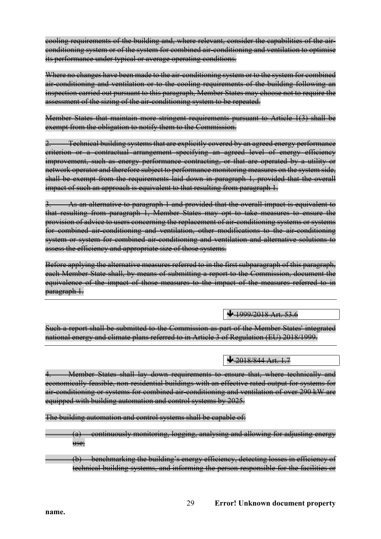cooling requirements of the building and, where relevant, consider the capabilities of the airconditioning system or of the system for combined air-conditioning and ventilation to optimise its performance under typical or average operating conditions.

Where no changes have been made to the air-conditioning system or to the system for combined air conditioning and ventilation or to the cooling requirements of the building following an inspection carried out pursuant to this paragraph, Member States may choose not to require the assessment of the sizing of the air-conditioning system to be repeated.

Member States that maintain more stringent requirements pursuant to Article 1(3) shall be exempt from the obligation to notify them to the Commission.

Technical building systems that are explicitly covered by an agreed energy performance criterion or a contractual arrangement specifying an agreed level of energy efficiency improvement, such as energy performance contracting, or that are operated by a utility or network operator and therefore subject to performance monitoring measures on the system side, shall be exempt from the requirements laid down in paragraph 1, provided that the overall impact of such an approach is equivalent to that resulting from paragraph 1.

3. As an alternative to paragraph 1 and provided that the overall impact is equivalent to that resulting from paragraph 1, Member States may opt to take measures to ensure the provision of advice to users concerning the replacement of air-conditioning systems or systems for combined air-conditioning and ventilation, other modifications to the air-conditioning system or system for combined air-conditioning and ventilation and alternative solutions to assess the efficiency and appropriate size of those systems.

Before applying the alternative measures referred to in the first subparagraph of this paragraph, each Member State shall, by means of submitting a report to the Commission, document the equivalence of the impact of those measures to the impact of the measures referred to in paragraph 1.

 $\bigvee 1999/2018$  Art. 53.6

Such a report shall be submitted to the Commission as part of the Member States' integrated national energy and climate plans referred to in Article 3 of Regulation (EU) 2018/1999.

 $\bigvee 2018/844$  Art. 1.7

Member States shall lay down requirements to ensure that, where technically and economically feasible, non-residential buildings with an effective rated output for systems for air-conditioning or systems for combined air-conditioning and ventilation of over 290 kW are equipped with building automation and control systems by 2025.

The building automation and control systems shall be capable of:

(a) continuously monitoring, logging, analysing and allowing for adjusting energy use;

(b) benchmarking the building's energy efficiency, detecting losses in efficiency of technical building systems, and informing the person responsible for the facilities or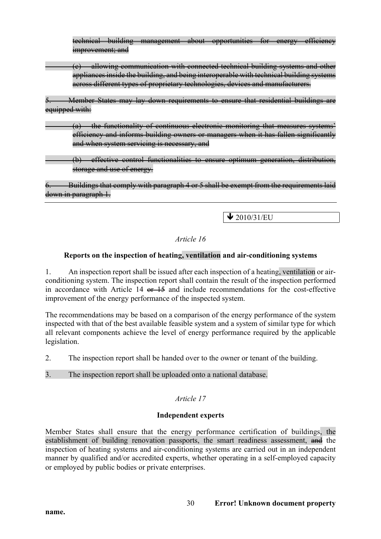technical building management about opportunities for energy efficiency improvement; and

(c) allowing communication with connected technical building systems and other appliances inside the building, and being interoperable with technical building systems across different types of proprietary technologies, devices and manufacturers.

5. Member States may lay down requirements to ensure that residential buildings are equipped with:

(a) the functionality of continuous electronic monitoring that measures systems' efficiency and informs building owners or managers when it has fallen significantly and when system servicing is necessary, and

(b) effective control functionalities to ensure optimum generation, distribution, storage and use of energy.

Buildings that comply with paragraph 4 or 5 shall be exempt from the requirements laid down in paragraph 1.

 $\bigvee$  2010/31/EU

### *Article 16*

### **Reports on the inspection of heating, ventilation and air-conditioning systems**

1. An inspection report shall be issued after each inspection of a heating, ventilation or airconditioning system. The inspection report shall contain the result of the inspection performed in accordance with Article 14  $e + 15$  and include recommendations for the cost-effective improvement of the energy performance of the inspected system.

The recommendations may be based on a comparison of the energy performance of the system inspected with that of the best available feasible system and a system of similar type for which all relevant components achieve the level of energy performance required by the applicable legislation.

2. The inspection report shall be handed over to the owner or tenant of the building.

3. The inspection report shall be uploaded onto a national database.

# *Article 17*

### **Independent experts**

Member States shall ensure that the energy performance certification of buildings, the establishment of building renovation passports, the smart readiness assessment, and the inspection of heating systems and air-conditioning systems are carried out in an independent manner by qualified and/or accredited experts, whether operating in a self-employed capacity or employed by public bodies or private enterprises.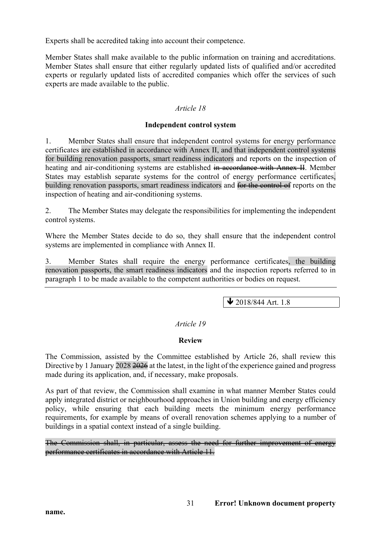Experts shall be accredited taking into account their competence.

Member States shall make available to the public information on training and accreditations. Member States shall ensure that either regularly updated lists of qualified and/or accredited experts or regularly updated lists of accredited companies which offer the services of such experts are made available to the public.

### *Article 18*

#### **Independent control system**

1. Member States shall ensure that independent control systems for energy performance certificates are established in accordance with Annex II, and that independent control systems for building renovation passports, smart readiness indicators and reports on the inspection of heating and air-conditioning systems are established in accordance with Annex II. Member States may establish separate systems for the control of energy performance certificates, building renovation passports, smart readiness indicators and for the control of reports on the inspection of heating and air-conditioning systems.

2. The Member States may delegate the responsibilities for implementing the independent control systems.

Where the Member States decide to do so, they shall ensure that the independent control systems are implemented in compliance with Annex II.

3. Member States shall require the energy performance certificates, the building renovation passports, the smart readiness indicators and the inspection reports referred to in paragraph 1 to be made available to the competent authorities or bodies on request.

 $\bigvee$  2018/844 Art. 1.8

### *Article 19*

### **Review**

The Commission, assisted by the Committee established by Article 26, shall review this Directive by 1 January 2028 2026 at the latest, in the light of the experience gained and progress made during its application, and, if necessary, make proposals.

As part of that review, the Commission shall examine in what manner Member States could apply integrated district or neighbourhood approaches in Union building and energy efficiency policy, while ensuring that each building meets the minimum energy performance requirements, for example by means of overall renovation schemes applying to a number of buildings in a spatial context instead of a single building.

The Commission shall, in particular, assess the need for further improvement of energy performance certificates in accordance with Article 11.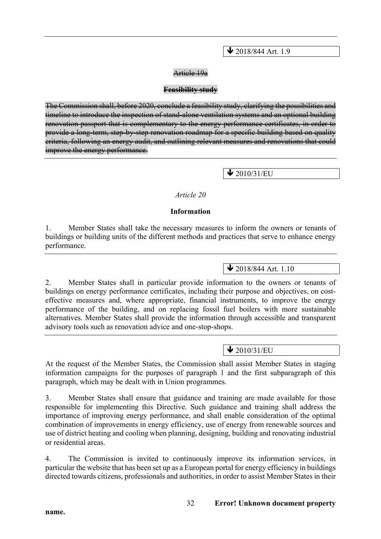$\bigvee$  2018/844 Art. 1.9

#### Article 19a

#### **Feasibility study**

The Commission shall, before 2020, conclude a feasibility study, clarifying the possibilities and timeline to introduce the inspection of stand-alone ventilation systems and an optional building renovation passport that is complementary to the energy performance certificates, in order to provide a long-term, step-by-step renovation roadmap for a specific building based on quality criteria, following an energy audit, and outlining relevant measures and renovations that could improve the energy performance.

 $\bigvee$  2010/31/EU

#### *Article 20*

#### **Information**

1. Member States shall take the necessary measures to inform the owners or tenants of buildings or building units of the different methods and practices that serve to enhance energy performance.

# $\bigvee$  2018/844 Art. 1.10

2. Member States shall in particular provide information to the owners or tenants of buildings on energy performance certificates, including their purpose and objectives, on costeffective measures and, where appropriate, financial instruments, to improve the energy performance of the building, and on replacing fossil fuel boilers with more sustainable alternatives. Member States shall provide the information through accessible and transparent advisory tools such as renovation advice and one-stop-shops.

# $\sqrt{2010/31/EU}$

At the request of the Member States, the Commission shall assist Member States in staging information campaigns for the purposes of paragraph 1 and the first subparagraph of this paragraph, which may be dealt with in Union programmes.

3. Member States shall ensure that guidance and training are made available for those responsible for implementing this Directive. Such guidance and training shall address the importance of improving energy performance, and shall enable consideration of the optimal combination of improvements in energy efficiency, use of energy from renewable sources and use of district heating and cooling when planning, designing, building and renovating industrial or residential areas.

4. The Commission is invited to continuously improve its information services, in particular the website that has been set up as a European portal for energy efficiency in buildings directed towards citizens, professionals and authorities, in order to assist Member States in their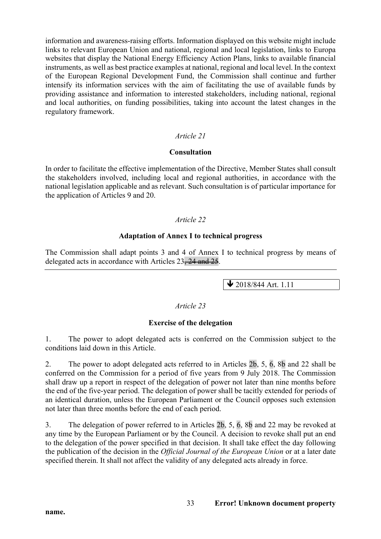information and awareness-raising efforts. Information displayed on this website might include links to relevant European Union and national, regional and local legislation, links to Europa websites that display the National Energy Efficiency Action Plans, links to available financial instruments, as well as best practice examples at national, regional and local level. In the context of the European Regional Development Fund, the Commission shall continue and further intensify its information services with the aim of facilitating the use of available funds by providing assistance and information to interested stakeholders, including national, regional and local authorities, on funding possibilities, taking into account the latest changes in the regulatory framework.

### *Article 21*

#### **Consultation**

In order to facilitate the effective implementation of the Directive, Member States shall consult the stakeholders involved, including local and regional authorities, in accordance with the national legislation applicable and as relevant. Such consultation is of particular importance for the application of Articles 9 and 20.

### *Article 22*

#### **Adaptation of Annex I to technical progress**

The Commission shall adapt points 3 and 4 of Annex I to technical progress by means of delegated acts in accordance with Articles 23, 24 and 25.

 $\bigvee$  2018/844 Art. 1.11

#### *Article 23*

### **Exercise of the delegation**

1. The power to adopt delegated acts is conferred on the Commission subject to the conditions laid down in this Article.

2. The power to adopt delegated acts referred to in Articles 2b, 5, 6, 8b and 22 shall be conferred on the Commission for a period of five years from 9 July 2018. The Commission shall draw up a report in respect of the delegation of power not later than nine months before the end of the five-year period. The delegation of power shall be tacitly extended for periods of an identical duration, unless the European Parliament or the Council opposes such extension not later than three months before the end of each period.

3. The delegation of power referred to in Articles 2b, 5, 6, 8b and 22 may be revoked at any time by the European Parliament or by the Council. A decision to revoke shall put an end to the delegation of the power specified in that decision. It shall take effect the day following the publication of the decision in the *Official Journal of the European Union* or at a later date specified therein. It shall not affect the validity of any delegated acts already in force.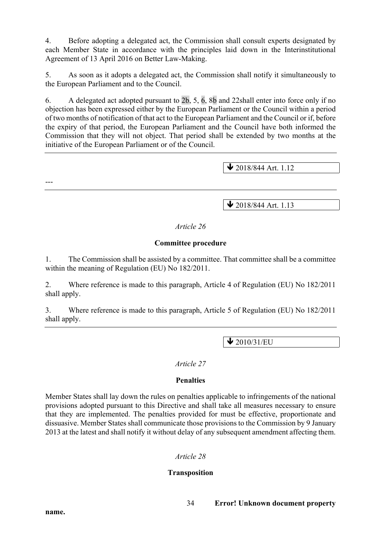4. Before adopting a delegated act, the Commission shall consult experts designated by each Member State in accordance with the principles laid down in the Interinstitutional Agreement of 13 April 2016 on Better Law-Making.

5. As soon as it adopts a delegated act, the Commission shall notify it simultaneously to the European Parliament and to the Council.

6. A delegated act adopted pursuant to 2b, 5, 6, 8b and 22shall enter into force only if no objection has been expressed either by the European Parliament or the Council within a period of two months of notification of that act to the European Parliament and the Council or if, before the expiry of that period, the European Parliament and the Council have both informed the Commission that they will not object. That period shall be extended by two months at the initiative of the European Parliament or of the Council.

 $\blacktriangleright$  2018/844 Art. 1.12

---

 $\blacktriangleright$  2018/844 Art. 1.13

### *Article 26*

#### **Committee procedure**

1. The Commission shall be assisted by a committee. That committee shall be a committee within the meaning of Regulation (EU) No 182/2011.

2. Where reference is made to this paragraph, Article 4 of Regulation (EU) No 182/2011 shall apply.

3. Where reference is made to this paragraph, Article 5 of Regulation (EU) No 182/2011 shall apply.

 $\bigvee$  2010/31/EU

#### *Article 27*

### **Penalties**

Member States shall lay down the rules on penalties applicable to infringements of the national provisions adopted pursuant to this Directive and shall take all measures necessary to ensure that they are implemented. The penalties provided for must be effective, proportionate and dissuasive. Member States shall communicate those provisions to the Commission by 9 January 2013 at the latest and shall notify it without delay of any subsequent amendment affecting them.

### *Article 28*

### **Transposition**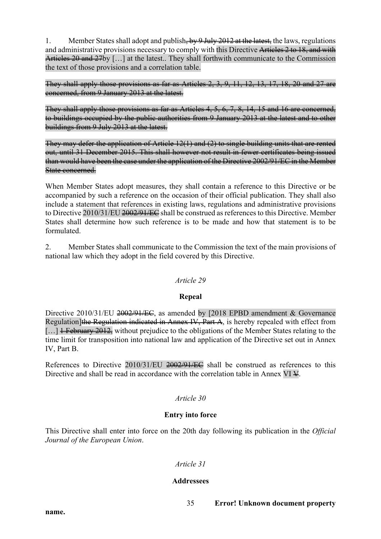1. Member States shall adopt and publish  $64.89 \text{ Ju/v}$  2012 at the latest, the laws, regulations and administrative provisions necessary to comply with this Directive Articles 2 to 18, and with Articles 20 and 27by [...] at the latest.. They shall forthwith communicate to the Commission the text of those provisions and a correlation table.

They shall apply those provisions as far as Articles 2, 3, 9, 11, 12, 13, 17, 18, 20 and 27 are concerned, from 9 January 2013 at the latest.

They shall apply those provisions as far as Articles 4, 5, 6, 7, 8, 14, 15 and 16 are concerned, to buildings occupied by the public authorities from 9 January 2013 at the latest and to other buildings from 9 July 2013 at the latest.

They may defer the application of Article 12(1) and (2) to single building units that are rented out, until 31 December 2015. This shall however not result in fewer certificates being issued than would have been the case under the application of the Directive 2002/91/EC in the Member State concerned.

When Member States adopt measures, they shall contain a reference to this Directive or be accompanied by such a reference on the occasion of their official publication. They shall also include a statement that references in existing laws, regulations and administrative provisions to Directive 2010/31/EU 2002/91/EC shall be construed as references to this Directive. Member States shall determine how such reference is to be made and how that statement is to be formulated.

2. Member States shall communicate to the Commission the text of the main provisions of national law which they adopt in the field covered by this Directive.

### *Article 29*

### **Repeal**

Directive 2010/31/EU 2002/91/EC, as amended by [2018 EPBD amendment & Governance Regulation]the Regulation indicated in Annex IV, Part A, is hereby repealed with effect from [...] <del>1 February 2012,</del> without prejudice to the obligations of the Member States relating to the time limit for transposition into national law and application of the Directive set out in Annex IV, Part B.

References to Directive 2010/31/EU 2002/91/EC shall be construed as references to this Directive and shall be read in accordance with the correlation table in Annex VI  $\frac{1}{2}$ .

# *Article 30*

### **Entry into force**

This Directive shall enter into force on the 20th day following its publication in the *Official Journal of the European Union*.

# *Article 31*

### **Addressees**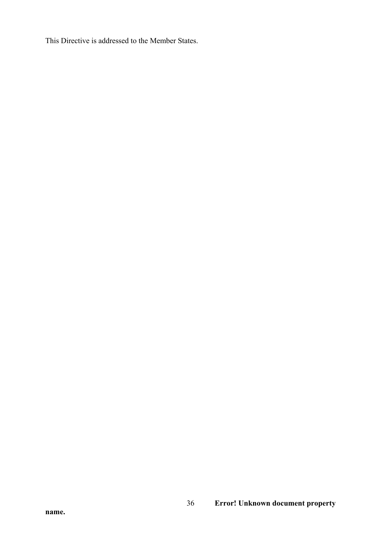This Directive is addressed to the Member States.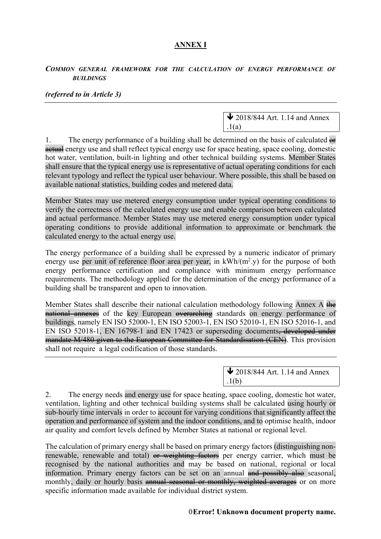# **ANNEX I**

#### *COMMON GENERAL FRAMEWORK FOR THE CALCULATION OF ENERGY PERFORMANCE OF BUILDINGS*

#### *(referred to in Article 3)*

 $\bigvee$  2018/844 Art. 1.14 and Annex  $.1(a)$ 

1. The energy performance of a building shall be determined on the basis of calculated  $\Theta$ actual energy use and shall reflect typical energy use for space heating, space cooling, domestic hot water, ventilation, built-in lighting and other technical building systems. Member States shall ensure that the typical energy use is representative of actual operating conditions for each relevant typology and reflect the typical user behaviour. Where possible, this shall be based on available national statistics, building codes and metered data.

Member States may use metered energy consumption under typical operating conditions to verify the correctness of the calculated energy use and enable comparison between calculated and actual performance. Member States may use metered energy consumption under typical operating conditions to provide additional information to approximate or benchmark the calculated energy to the actual energy use.

The energy performance of a building shall be expressed by a numeric indicator of primary energy use per unit of reference floor area per year, in  $kWh/(m^2 y)$  for the purpose of both energy performance certification and compliance with minimum energy performance requirements. The methodology applied for the determination of the energy performance of a building shall be transparent and open to innovation.

Member States shall describe their national calculation methodology following Annex A the national annexes of the key European overarching standards on energy performance of buildings, namely EN ISO 52000-1, EN ISO 52003-1, EN ISO 52010-1, EN ISO 52016-1, and EN ISO 52018-1, EN 16798-1 and EN 17423 or superseding documents<del>, developed under</del> mandate M/480 given to the European Committee for Standardisation (CEN). This provision shall not require a legal codification of those standards.

> $\blacktriangleright$  2018/844 Art. 1.14 and Annex  $.1(b)$

2. The energy needs and energy use for space heating, space cooling, domestic hot water, ventilation, lighting and other technical building systems shall be calculated using hourly or sub-hourly time intervals in order to account for varying conditions that significantly affect the operation and performance of system and the indoor conditions, and to optimise health, indoor air quality and comfort levels defined by Member States at national or regional level.

The calculation of primary energy shall be based on primary energy factors (distinguishing nonrenewable, renewable and total) or weighting factors per energy carrier, which must be recognised by the national authorities and may be based on national, regional or local information. Primary energy factors can be set on an annual and possibly also seasonal, monthly, daily or hourly basis annual seasonal or monthly, weighted averages or on more specific information made available for individual district system.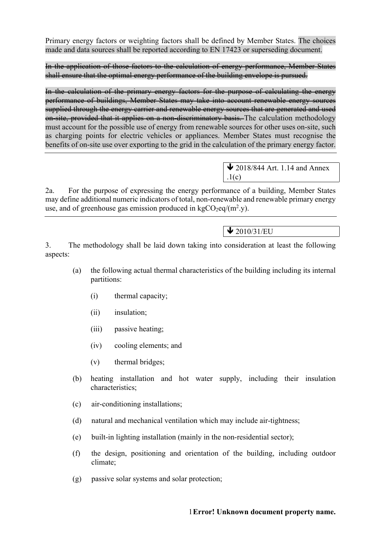Primary energy factors or weighting factors shall be defined by Member States. The choices made and data sources shall be reported according to EN 17423 or superseding document.

In the application of those factors to the calculation of energy performance, Member States shall ensure that the optimal energy performance of the building envelope is pursued.

In the calculation of the primary energy factors for the purpose of calculating the energy performance of buildings, Member States may take into account renewable energy sources supplied through the energy carrier and renewable energy sources that are generated and used on site, provided that it applies on a non-discriminatory basis. The calculation methodology must account for the possible use of energy from renewable sources for other uses on-site, such as charging points for electric vehicles or appliances. Member States must recognise the benefits of on-site use over exporting to the grid in the calculation of the primary energy factor.

> $\bigvee$  2018/844 Art. 1.14 and Annex  $.1(c)$

2a. For the purpose of expressing the energy performance of a building, Member States may define additional numeric indicators of total, non-renewable and renewable primary energy use, and of greenhouse gas emission produced in  $kgCO_2$ eq/(m<sup>2</sup>.y).

# $\bigvee$  2010/31/EU

3. The methodology shall be laid down taking into consideration at least the following aspects:

- (a) the following actual thermal characteristics of the building including its internal partitions:
	- (i) thermal capacity;
	- (ii) insulation;
	- (iii) passive heating;
	- (iv) cooling elements; and
	- (v) thermal bridges;
- (b) heating installation and hot water supply, including their insulation characteristics;
- (c) air-conditioning installations;
- (d) natural and mechanical ventilation which may include air-tightness;
- (e) built-in lighting installation (mainly in the non-residential sector);
- (f) the design, positioning and orientation of the building, including outdoor climate;
- (g) passive solar systems and solar protection;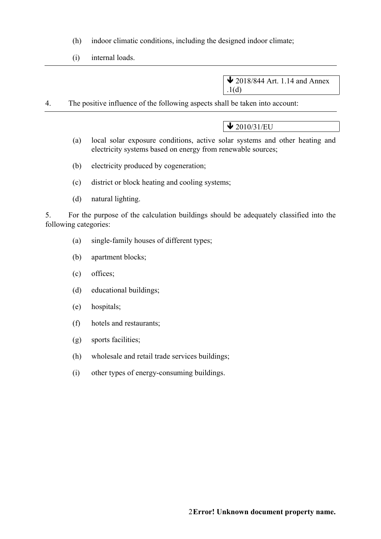- (h) indoor climatic conditions, including the designed indoor climate;
- (i) internal loads.

 $\bigvee$  2018/844 Art. 1.14 and Annex .1(d)

4. The positive influence of the following aspects shall be taken into account:

 $\bigvee$  2010/31/EU

- (a) local solar exposure conditions, active solar systems and other heating and electricity systems based on energy from renewable sources;
- (b) electricity produced by cogeneration;
- (c) district or block heating and cooling systems;
- (d) natural lighting.

5. For the purpose of the calculation buildings should be adequately classified into the following categories:

- (a) single-family houses of different types;
- (b) apartment blocks;
- (c) offices;
- (d) educational buildings;
- (e) hospitals;
- (f) hotels and restaurants;
- (g) sports facilities;
- (h) wholesale and retail trade services buildings;
- (i) other types of energy-consuming buildings.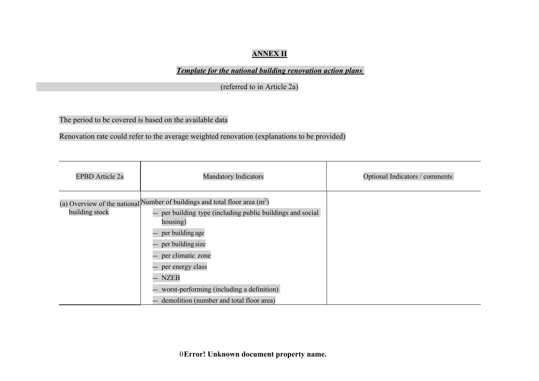# **ANNEX II**

*Template for the national building renovation action plans* 

(referred to in Article 2a)

The period to be covered is based on the available data

Renovation rate could refer to the average weighted renovation (explanations to be provided)

| <b>EPBD</b> Article 2a | <b>Mandatory Indicators</b>                                                                                                                                                                                                                                                                                                                    | Optional Indicators / comments |  |
|------------------------|------------------------------------------------------------------------------------------------------------------------------------------------------------------------------------------------------------------------------------------------------------------------------------------------------------------------------------------------|--------------------------------|--|
| building stock         | (a) Overview of the national Number of buildings and total floor area $(m^2)$<br>per building type (including public buildings and social<br>housing)<br>per building age<br>- per building size<br>per climatic zone<br>per energy class<br>$-$ NZEB<br>worst-performing (including a definition)<br>demolition (number and total floor area) |                                |  |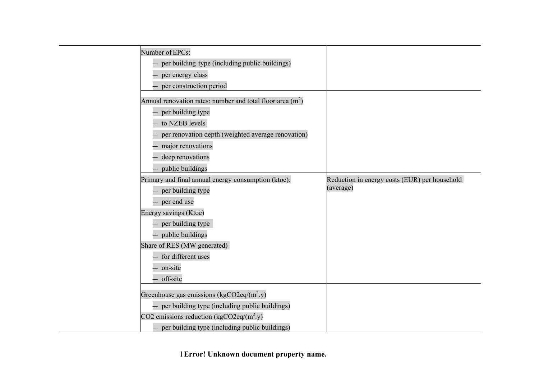| Number of EPCs:                                             |                                               |
|-------------------------------------------------------------|-----------------------------------------------|
| per building type (including public buildings)              |                                               |
| - per energy class                                          |                                               |
| - per construction period                                   |                                               |
| Annual renovation rates: number and total floor area $(m2)$ |                                               |
| - per building type                                         |                                               |
| to NZEB levels                                              |                                               |
| per renovation depth (weighted average renovation)          |                                               |
| major renovations                                           |                                               |
| deep renovations                                            |                                               |
| - public buildings                                          |                                               |
| Primary and final annual energy consumption (ktoe):         | Reduction in energy costs (EUR) per household |
| - per building type                                         | (average)                                     |
| - per end use                                               |                                               |
| Energy savings (Ktoe)                                       |                                               |
| - per building type                                         |                                               |
| - public buildings                                          |                                               |
| Share of RES (MW generated)                                 |                                               |
| - for different uses                                        |                                               |
| - on-site                                                   |                                               |
| - off-site                                                  |                                               |
| Greenhouse gas emissions (kgCO2eq/(m <sup>2</sup> .y)       |                                               |
| - per building type (including public buildings)            |                                               |
| CO2 emissions reduction (kgCO2eq/(m <sup>2</sup> .y)        |                                               |
| - per building type (including public buildings)            |                                               |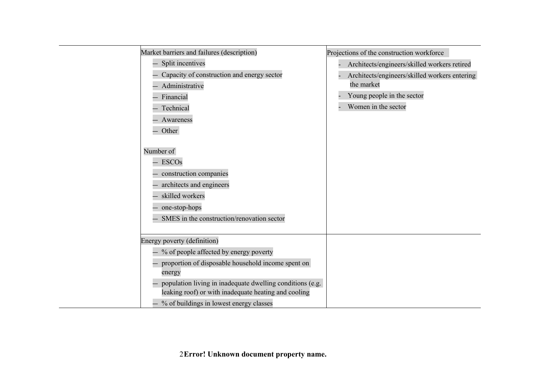| Market barriers and failures (description)                                                                        | Projections of the construction workforce     |
|-------------------------------------------------------------------------------------------------------------------|-----------------------------------------------|
| Split incentives                                                                                                  | Architects/engineers/skilled workers retired  |
| Capacity of construction and energy sector                                                                        | Architects/engineers/skilled workers entering |
| Administrative                                                                                                    | the market                                    |
| Financial                                                                                                         | Young people in the sector                    |
| Technical                                                                                                         | Women in the sector                           |
| Awareness                                                                                                         |                                               |
| Other                                                                                                             |                                               |
|                                                                                                                   |                                               |
| Number of                                                                                                         |                                               |
| <b>ESCOs</b>                                                                                                      |                                               |
| construction companies                                                                                            |                                               |
| architects and engineers                                                                                          |                                               |
| skilled workers                                                                                                   |                                               |
| one-stop-hops                                                                                                     |                                               |
| SMES in the construction/renovation sector                                                                        |                                               |
|                                                                                                                   |                                               |
| Energy poverty (definition)                                                                                       |                                               |
| % of people affected by energy poverty                                                                            |                                               |
| proportion of disposable household income spent on<br>energy                                                      |                                               |
| population living in inadequate dwelling conditions (e.g.<br>leaking roof) or with inadequate heating and cooling |                                               |
| - % of buildings in lowest energy classes                                                                         |                                               |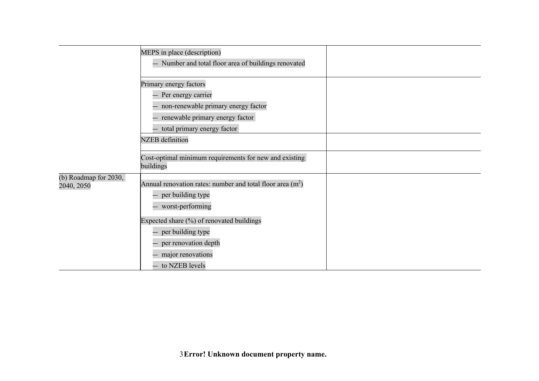|                                        | MEPS in place (description)<br>Number and total floor area of buildings renovated                                                                                                                                         |  |
|----------------------------------------|---------------------------------------------------------------------------------------------------------------------------------------------------------------------------------------------------------------------------|--|
|                                        | Primary energy factors<br>Per energy carrier<br>non-renewable primary energy factor<br>renewable primary energy factor<br>- total primary energy factor                                                                   |  |
|                                        | <b>NZEB</b> definition                                                                                                                                                                                                    |  |
|                                        | Cost-optimal minimum requirements for new and existing<br>buildings                                                                                                                                                       |  |
| (b) Roadmap for $2030$ ,<br>2040, 2050 | Annual renovation rates: number and total floor area $(m2)$<br>- per building type<br>- worst-performing<br>Expected share (%) of renovated buildings<br>- per building type<br>per renovation depth<br>major renovations |  |
|                                        | - to NZEB levels                                                                                                                                                                                                          |  |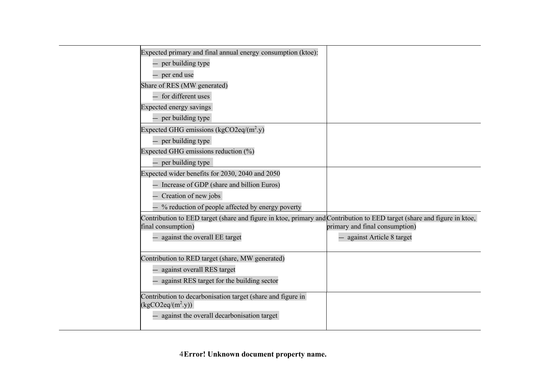| Expected primary and final annual energy consumption (ktoe):                                                                                  |                                |
|-----------------------------------------------------------------------------------------------------------------------------------------------|--------------------------------|
| per building type                                                                                                                             |                                |
| per end use                                                                                                                                   |                                |
| Share of RES (MW generated)                                                                                                                   |                                |
| - for different uses                                                                                                                          |                                |
| Expected energy savings                                                                                                                       |                                |
| - per building type                                                                                                                           |                                |
| Expected GHG emissions (kgCO2eq/(m <sup>2</sup> .y)                                                                                           |                                |
| - per building type                                                                                                                           |                                |
| Expected GHG emissions reduction $(\%)$                                                                                                       |                                |
| per building type                                                                                                                             |                                |
| Expected wider benefits for 2030, 2040 and 2050                                                                                               |                                |
| Increase of GDP (share and billion Euros)                                                                                                     |                                |
| Creation of new jobs                                                                                                                          |                                |
| % reduction of people affected by energy poverty                                                                                              |                                |
| Contribution to EED target (share and figure in ktoe, primary and Contribution to EED target (share and figure in ktoe,<br>final consumption) | primary and final consumption) |
| against the overall EE target                                                                                                                 | against Article 8 target       |
| Contribution to RED target (share, MW generated)                                                                                              |                                |
| against overall RES target                                                                                                                    |                                |
| against RES target for the building sector                                                                                                    |                                |
| Contribution to decarbonisation target (share and figure in                                                                                   |                                |
| $(kgCO2eq/(m^2.y))$                                                                                                                           |                                |
| against the overall decarbonisation target                                                                                                    |                                |
|                                                                                                                                               |                                |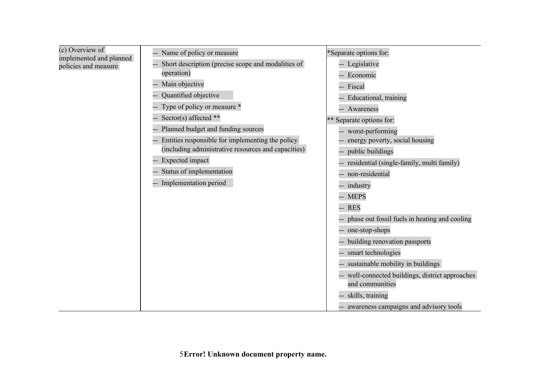| (c) Overview of         |  |
|-------------------------|--|
| implemented and planned |  |
| policies and measure    |  |

- Name of policy or measure
- Short description (precise scope and modalities of operation)
- Main objective
- Quantified objective
- Type of policy or measure \*
- $-$  Sector(s) affected \*\*
- Planned budget and funding sources
- Entities responsible for implementing the policy (including administrative resources and capacities)
- 
- Status of implementation
- 
- 
- Expected impact
- 
- Implementation period
- 
- Educational, training — Awareness

\*Separate options for: — Legislative — Economic — Fiscal

- 
- \*\* Separate options for:
	- worst-performing
	- energy poverty, social housing
	- public buildings
	- residential (single-family, multi family)
	- non-residential
	- industry
	- MEPS
	- RES
	- phase out fossil fuels in heating and cooling
	- one-stop-shops
	- building renovation passports
	- smart technologies
	- sustainable mobility in buildings
	- well-connected buildings, district approaches and communities
		- skills, training
		- awareness campaigns and advisory tools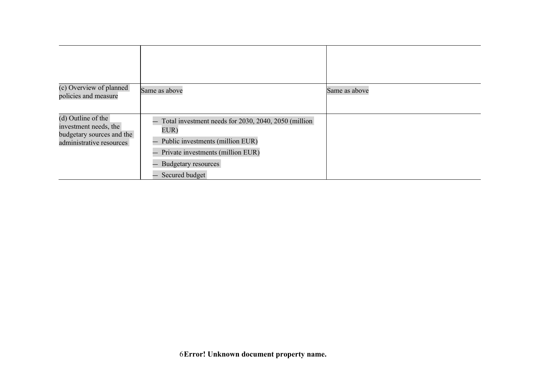| (c) Overview of planned<br>policies and measure                                                      | Same as above                                                                                                                                                                   | Same as above |
|------------------------------------------------------------------------------------------------------|---------------------------------------------------------------------------------------------------------------------------------------------------------------------------------|---------------|
| (d) Outline of the<br>investment needs, the<br>budgetary sources and the<br>administrative resources | Total investment needs for 2030, 2040, 2050 (million)<br>EUR)<br>Public investments (million EUR)<br>Private investments (million EUR)<br>Budgetary resources<br>Secured budget |               |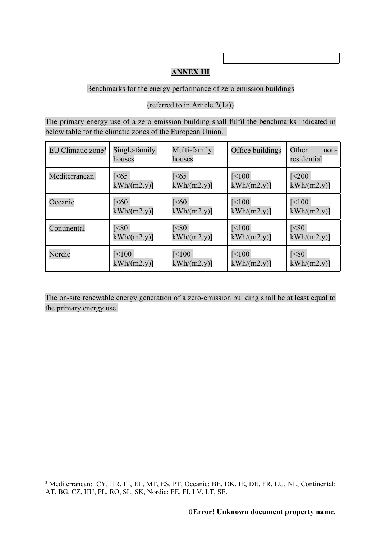# **ANNEX III**

## Benchmarks for the energy performance of zero emission buildings

(referred to in Article 2(1a))

The primary energy use of a zero emission building shall fulfil the benchmarks indicated in below table for the climatic zones of the European Union.

| EU Climatic zone <sup>3</sup> | Single-family<br>houses | Multi-family<br>houses | Office buildings     | Other<br>non-<br>residential |
|-------------------------------|-------------------------|------------------------|----------------------|------------------------------|
| Mediterranean                 | $\left[<65\right]$      | $\sqrt{5}$             | $\mathsf{K}\leq 100$ | $\sqrt{5}$                   |
|                               | kWh/(m2.y)              | kWh/(m2.y)             | kWh/(m2.y)           | kWh/(m2.y)                   |
| Oceanic                       | $\mathsf{I}$ $\leq 60$  | $\mathsf{I}$ $\leq 60$ | $\mathsf{K}\leq 100$ | $\mathsf{I}\leq 100$         |
|                               | kWh/(m2.y)              | kWh/(m2.y)             | kWh/(m2.y)           | kWh/(m2.y)                   |
| Continental                   | S                       | S                      | $\mathsf{I}\leq 100$ | $\overline{\text{S}}$        |
|                               | kWh/(m2.y)              | kWh/(m2.y)             | kWh/(m2.y)           | kWh/(m2.y)                   |
| Nordic                        | $\mathsf{I}\leq 100$    | $\mathsf{I}\leq 100$   | $\mathsf{K}\leq 100$ | $\sqrt{80}$                  |
|                               | kWh/(m2.y)              | kWh/(m2.y)             | kWh/(m2.y)           | kWh/(m2.y)                   |

The on-site renewable energy generation of a zero-emission building shall be at least equal to the primary energy use.

<sup>3</sup> Mediterranean: CY, HR, IT, EL, MT, ES, PT, Oceanic: BE, DK, IE, DE, FR, LU, NL, Continental: AT, BG, CZ, HU, PL, RO, SL, SK, Nordic: EE, FI, LV, LT, SE.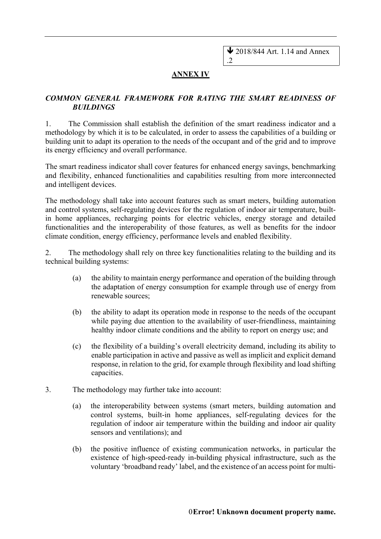$\bigvee$  2018/844 Art. 1.14 and Annex

# **ANNEX IV**

.2

### *COMMON GENERAL FRAMEWORK FOR RATING THE SMART READINESS OF BUILDINGS*

1. The Commission shall establish the definition of the smart readiness indicator and a methodology by which it is to be calculated, in order to assess the capabilities of a building or building unit to adapt its operation to the needs of the occupant and of the grid and to improve its energy efficiency and overall performance.

The smart readiness indicator shall cover features for enhanced energy savings, benchmarking and flexibility, enhanced functionalities and capabilities resulting from more interconnected and intelligent devices.

The methodology shall take into account features such as smart meters, building automation and control systems, self-regulating devices for the regulation of indoor air temperature, builtin home appliances, recharging points for electric vehicles, energy storage and detailed functionalities and the interoperability of those features, as well as benefits for the indoor climate condition, energy efficiency, performance levels and enabled flexibility.

2. The methodology shall rely on three key functionalities relating to the building and its technical building systems:

- (a) the ability to maintain energy performance and operation of the building through the adaptation of energy consumption for example through use of energy from renewable sources;
- (b) the ability to adapt its operation mode in response to the needs of the occupant while paying due attention to the availability of user-friendliness, maintaining healthy indoor climate conditions and the ability to report on energy use; and
- (c) the flexibility of a building's overall electricity demand, including its ability to enable participation in active and passive as well as implicit and explicit demand response, in relation to the grid, for example through flexibility and load shifting capacities.
- 3. The methodology may further take into account:
	- (a) the interoperability between systems (smart meters, building automation and control systems, built-in home appliances, self-regulating devices for the regulation of indoor air temperature within the building and indoor air quality sensors and ventilations); and
	- (b) the positive influence of existing communication networks, in particular the existence of high-speed-ready in-building physical infrastructure, such as the voluntary 'broadband ready' label, and the existence of an access point for multi-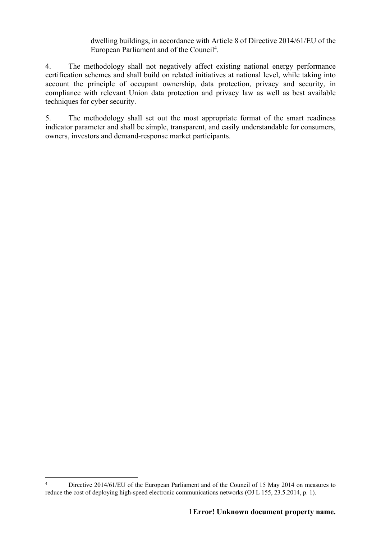dwelling buildings, in accordance with Article 8 of Directive 2014/61/EU of the European Parliament and of the Council4.

4. The methodology shall not negatively affect existing national energy performance certification schemes and shall build on related initiatives at national level, while taking into account the principle of occupant ownership, data protection, privacy and security, in compliance with relevant Union data protection and privacy law as well as best available techniques for cyber security.

5. The methodology shall set out the most appropriate format of the smart readiness indicator parameter and shall be simple, transparent, and easily understandable for consumers, owners, investors and demand-response market participants.

<sup>&</sup>lt;sup>4</sup> Directive 2014/61/EU of the European Parliament and of the Council of 15 May 2014 on measures to reduce the cost of deploying high-speed electronic communications networks (OJ L 155, 23.5.2014, p. 1).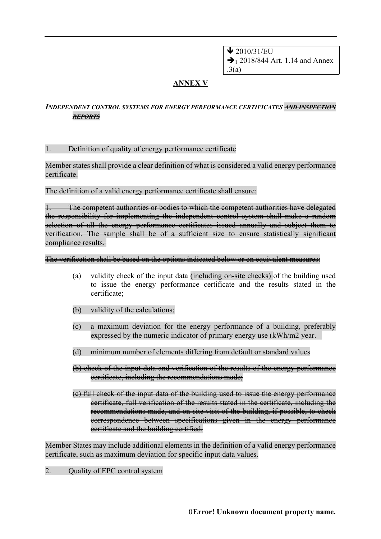$\bigvee$  2010/31/EU  $\rightarrow$  1 2018/844 Art. 1.14 and Annex .3(a)

# **ANNEX V**

#### *INDEPENDENT CONTROL SYSTEMS FOR ENERGY PERFORMANCE CERTIFICATES AND INSPECTION REPORTS*

#### 1. Definition of quality of energy performance certificate

Member states shall provide a clear definition of what is considered a valid energy performance certificate.

The definition of a valid energy performance certificate shall ensure:

The competent authorities or bodies to which the competent authorities have delegated the responsibility for implementing the independent control system shall make a random selection of all the energy performance certificates issued annually and subject them to verification. The sample shall be of a sufficient size to ensure statistically significant compliance results.

#### The verification shall be based on the options indicated below or on equivalent measures:

- (a) validity check of the input data (including on-site checks) of the building used to issue the energy performance certificate and the results stated in the certificate;
- (b) validity of the calculations;
- (c) a maximum deviation for the energy performance of a building, preferably expressed by the numeric indicator of primary energy use (kWh/m2 year.
- (d) minimum number of elements differing from default or standard values
- (b) check of the input data and verification of the results of the energy performance certificate, including the recommendations made;
- (c) full check of the input data of the building used to issue the energy performance certificate, full verification of the results stated in the certificate, including the recommendations made, and on-site visit of the building, if possible, to check correspondence between specifications given in the energy performance certificate and the building certified.

Member States may include additional elements in the definition of a valid energy performance certificate, such as maximum deviation for specific input data values.

2. Quality of EPC control system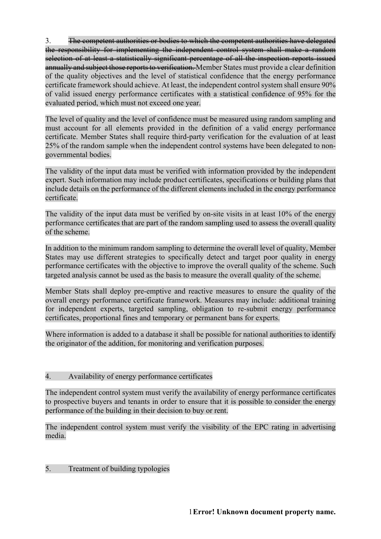3. The competent authorities or bodies to which the competent authorities have delegated the responsibility for implementing the independent control system shall make a random selection of at least a statistically significant percentage of all the inspection reports issued annually and subject those reports to verification. Member States must provide a clear definition of the quality objectives and the level of statistical confidence that the energy performance certificate framework should achieve. At least, the independent control system shall ensure 90% of valid issued energy performance certificates with a statistical confidence of 95% for the evaluated period, which must not exceed one year.

The level of quality and the level of confidence must be measured using random sampling and must account for all elements provided in the definition of a valid energy performance certificate. Member States shall require third-party verification for the evaluation of at least 25% of the random sample when the independent control systems have been delegated to nongovernmental bodies.

The validity of the input data must be verified with information provided by the independent expert. Such information may include product certificates, specifications or building plans that include details on the performance of the different elements included in the energy performance certificate.

The validity of the input data must be verified by on-site visits in at least 10% of the energy performance certificates that are part of the random sampling used to assess the overall quality of the scheme.

In addition to the minimum random sampling to determine the overall level of quality, Member States may use different strategies to specifically detect and target poor quality in energy performance certificates with the objective to improve the overall quality of the scheme. Such targeted analysis cannot be used as the basis to measure the overall quality of the scheme.

Member Stats shall deploy pre-emptive and reactive measures to ensure the quality of the overall energy performance certificate framework. Measures may include: additional training for independent experts, targeted sampling, obligation to re-submit energy performance certificates, proportional fines and temporary or permanent bans for experts.

Where information is added to a database it shall be possible for national authorities to identify the originator of the addition, for monitoring and verification purposes.

### 4. Availability of energy performance certificates

The independent control system must verify the availability of energy performance certificates to prospective buyers and tenants in order to ensure that it is possible to consider the energy performance of the building in their decision to buy or rent.

The independent control system must verify the visibility of the EPC rating in advertising media.

### 5. Treatment of building typologies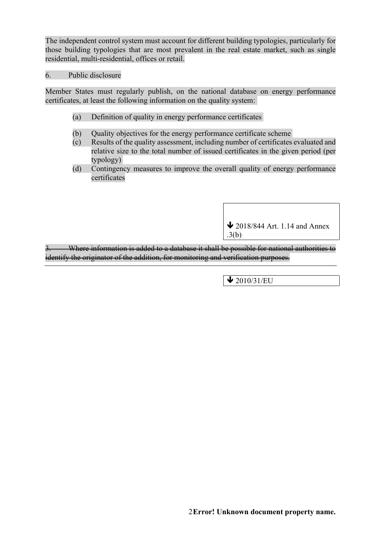The independent control system must account for different building typologies, particularly for those building typologies that are most prevalent in the real estate market, such as single residential, multi-residential, offices or retail.

#### 6. Public disclosure

Member States must regularly publish, on the national database on energy performance certificates, at least the following information on the quality system:

- (a) Definition of quality in energy performance certificates
- (b) Quality objectives for the energy performance certificate scheme
- (c) Results of the quality assessment, including number of certificates evaluated and relative size to the total number of issued certificates in the given period (per typology)
- (d) Contingency measures to improve the overall quality of energy performance certificates

 $\bigvee$  2018/844 Art. 1.14 and Annex .3(b)

Where information is added to a database it shall be possible for national authorities to identify the originator of the addition, for monitoring and verification purposes.

 $\bigvee$  2010/31/EU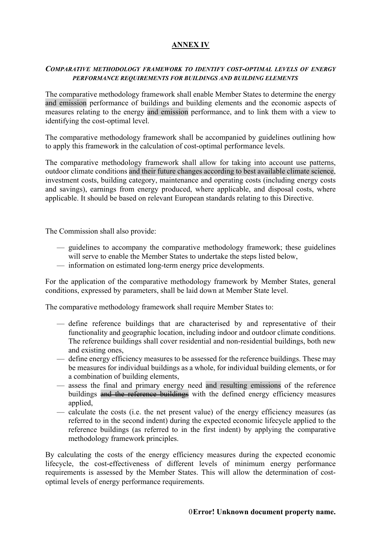# **ANNEX IV**

#### *COMPARATIVE METHODOLOGY FRAMEWORK TO IDENTIFY COST-OPTIMAL LEVELS OF ENERGY PERFORMANCE REQUIREMENTS FOR BUILDINGS AND BUILDING ELEMENTS*

The comparative methodology framework shall enable Member States to determine the energy and emission performance of buildings and building elements and the economic aspects of measures relating to the energy and emission performance, and to link them with a view to identifying the cost-optimal level.

The comparative methodology framework shall be accompanied by guidelines outlining how to apply this framework in the calculation of cost-optimal performance levels.

The comparative methodology framework shall allow for taking into account use patterns, outdoor climate conditions and their future changes according to best available climate science, investment costs, building category, maintenance and operating costs (including energy costs and savings), earnings from energy produced, where applicable, and disposal costs, where applicable. It should be based on relevant European standards relating to this Directive.

The Commission shall also provide:

- guidelines to accompany the comparative methodology framework; these guidelines will serve to enable the Member States to undertake the steps listed below,
- information on estimated long-term energy price developments.

For the application of the comparative methodology framework by Member States, general conditions, expressed by parameters, shall be laid down at Member State level.

The comparative methodology framework shall require Member States to:

- define reference buildings that are characterised by and representative of their functionality and geographic location, including indoor and outdoor climate conditions. The reference buildings shall cover residential and non-residential buildings, both new and existing ones,
- define energy efficiency measures to be assessed for the reference buildings. These may be measures for individual buildings as a whole, for individual building elements, or for a combination of building elements,
- assess the final and primary energy need and resulting emissions of the reference buildings and the reference buildings with the defined energy efficiency measures applied,
- calculate the costs (i.e. the net present value) of the energy efficiency measures (as referred to in the second indent) during the expected economic lifecycle applied to the reference buildings (as referred to in the first indent) by applying the comparative methodology framework principles.

By calculating the costs of the energy efficiency measures during the expected economic lifecycle, the cost-effectiveness of different levels of minimum energy performance requirements is assessed by the Member States. This will allow the determination of costoptimal levels of energy performance requirements.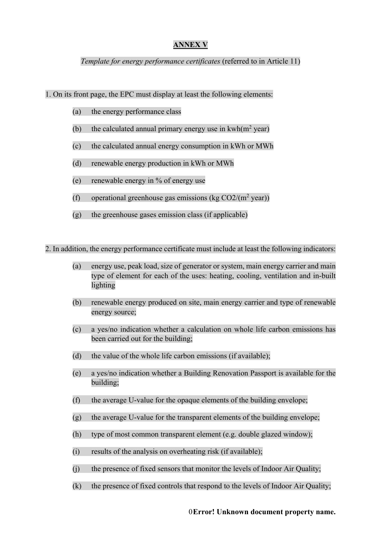### **ANNEX V**

#### *Template for energy performance certificates (referred to in Article 11)*

1. On its front page, the EPC must display at least the following elements:

- (a) the energy performance class
- (b) the calculated annual primary energy use in  $kwh(m^2 year)$
- (c) the calculated annual energy consumption in kWh or MWh
- (d) renewable energy production in kWh or MWh
- (e) renewable energy in % of energy use
- (f) operational greenhouse gas emissions (kg  $CO2/(m^2 \text{ year})$ )
- (g) the greenhouse gases emission class (if applicable)

2. In addition, the energy performance certificate must include at least the following indicators:

- (a) energy use, peak load, size of generator or system, main energy carrier and main type of element for each of the uses: heating, cooling, ventilation and in-built lighting
- (b) renewable energy produced on site, main energy carrier and type of renewable energy source;
- (c) a yes/no indication whether a calculation on whole life carbon emissions has been carried out for the building;
- (d) the value of the whole life carbon emissions (if available);
- (e) a yes/no indication whether a Building Renovation Passport is available for the building;
- (f) the average U-value for the opaque elements of the building envelope;
- (g) the average U-value for the transparent elements of the building envelope;
- (h) type of most common transparent element (e.g. double glazed window);
- (i) results of the analysis on overheating risk (if available);
- (j) the presence of fixed sensors that monitor the levels of Indoor Air Quality;
- (k) the presence of fixed controls that respond to the levels of Indoor Air Quality;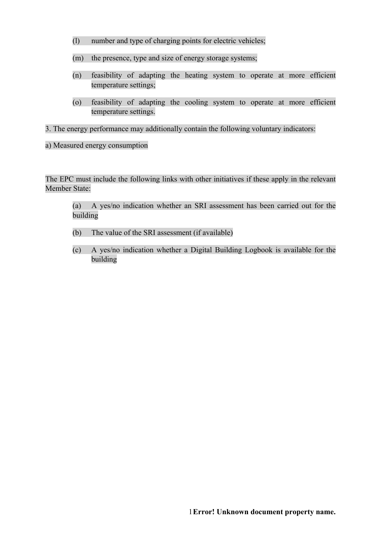- (l) number and type of charging points for electric vehicles;
- (m) the presence, type and size of energy storage systems;
- (n) feasibility of adapting the heating system to operate at more efficient temperature settings;
- (o) feasibility of adapting the cooling system to operate at more efficient temperature settings.

3. The energy performance may additionally contain the following voluntary indicators:

a) Measured energy consumption

The EPC must include the following links with other initiatives if these apply in the relevant Member State:

(a) A yes/no indication whether an SRI assessment has been carried out for the building

- (b) The value of the SRI assessment (if available)
- (c) A yes/no indication whether a Digital Building Logbook is available for the building